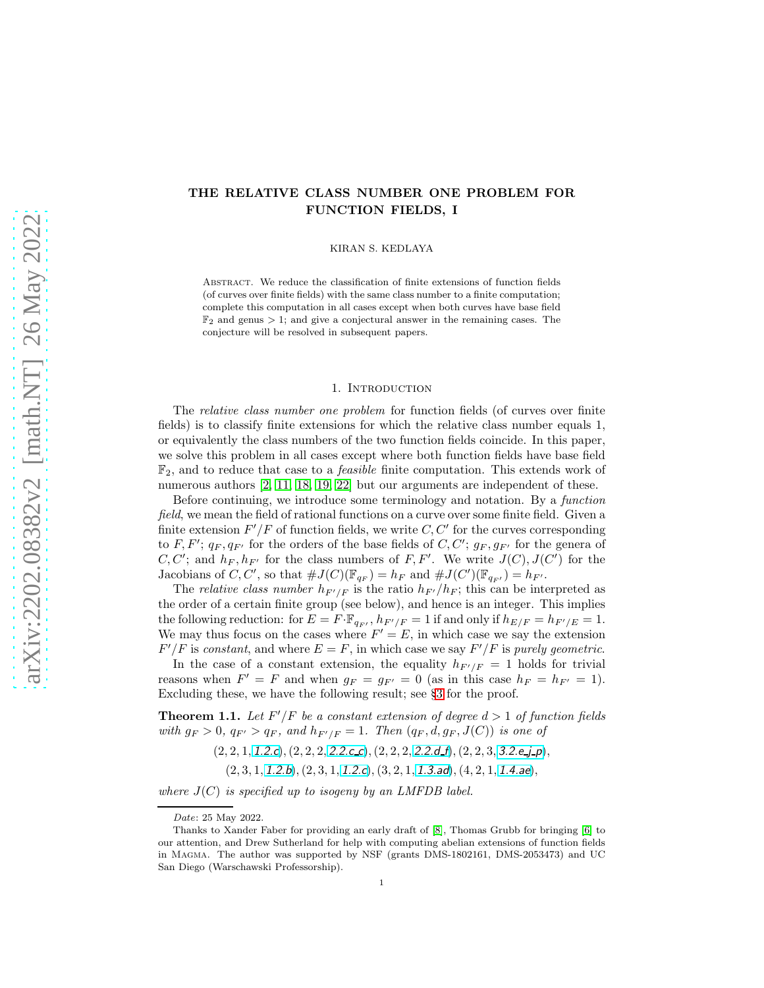# THE RELATIVE CLASS NUMBER ONE PROBLEM FOR FUNCTION FIELDS, I

KIRAN S. KEDLAYA

Abstract. We reduce the classification of finite extensions of function fields (of curves over finite fields) with the same class number to a finite computation; complete this computation in all cases except when both curves have base field  $\mathbb{F}_2$  and genus  $> 1$ ; and give a conjectural answer in the remaining cases. The conjecture will be resolved in subsequent papers.

#### 1. INTRODUCTION

The *relative class number one problem* for function fields (of curves over finite fields) is to classify finite extensions for which the relative class number equals 1, or equivalently the class numbers of the two function fields coincide. In this paper, we solve this problem in all cases except where both function fields have base field  $\mathbb{F}_2$ , and to reduce that case to a *feasible* finite computation. This extends work of numerous authors [\[2,](#page-12-0) [11,](#page-13-0) [18,](#page-13-1) [19,](#page-13-2) [22\]](#page-13-3) but our arguments are independent of these.

Before continuing, we introduce some terminology and notation. By a *function* field, we mean the field of rational functions on a curve over some finite field. Given a finite extension  $F'/F$  of function fields, we write  $C, C'$  for the curves corresponding to F, F';  $q_F, q_{F'}$  for the orders of the base fields of C, C';  $g_F, g_{F'}$  for the genera of  $C, C'$ ; and  $h_F, h_{F'}$  for the class numbers of F, F'. We write  $J(C), J(C')$  for the Jacobians of C, C', so that  $\#J(C)(\mathbb{F}_{q_F}) = h_F$  and  $\#J(C')(\mathbb{F}_{q_{F'}}) = h_{F'}$ .

The *relative class number*  $h_{F'/F}$  is the ratio  $h_{F'}/h_F$ ; this can be interpreted as the order of a certain finite group (see below), and hence is an integer. This implies the following reduction: for  $E = F \cdot \mathbb{F}_{q_F}$ ,  $h_{F'/F} = 1$  if and only if  $h_{E/F} = h_{F'/E} = 1$ . We may thus focus on the cases where  $F' = E$ , in which case we say the extension  $F'/F$  is constant, and where  $E = F$ , in which case we say  $F'/F$  is purely geometric.

In the case of a constant extension, the equality  $h_{F'/F} = 1$  holds for trivial reasons when  $F' = F$  and when  $g_F = g_{F'} = 0$  (as in this case  $h_F = h_{F'} = 1$ ). Excluding these, we have the following result; see §[3](#page-3-0) for the proof.

<span id="page-0-0"></span>**Theorem 1.1.** Let  $F'/F$  be a constant extension of degree  $d > 1$  of function fields with  $g_F > 0$ ,  $q_{F'} > q_F$ , and  $h_{F'/F} = 1$ . Then  $(q_F, d, g_F, J(C))$  is one of

- $(2, 2, 1, 1.2.c), (2, 2, 2, 2.2.c.c), (2, 2, 2, 2.2.d.f), (2, 2, 3, 3.2.e.j.p),$  $(2, 2, 1, 1.2.c), (2, 2, 2, 2.2.c.c), (2, 2, 2, 2.2.d.f), (2, 2, 3, 3.2.e.j.p),$  $(2, 2, 1, 1.2.c), (2, 2, 2, 2.2.c.c), (2, 2, 2, 2.2.d.f), (2, 2, 3, 3.2.e.j.p),$  $(2, 2, 1, 1.2.c), (2, 2, 2, 2.2.c.c), (2, 2, 2, 2.2.d.f), (2, 2, 3, 3.2.e.j.p),$  $(2, 2, 1, 1.2.c), (2, 2, 2, 2.2.c.c), (2, 2, 2, 2.2.d.f), (2, 2, 3, 3.2.e.j.p),$  $(2, 2, 1, 1.2.c), (2, 2, 2, 2.2.c.c), (2, 2, 2, 2.2.d.f), (2, 2, 3, 3.2.e.j.p),$  $(2, 2, 1, 1.2.c), (2, 2, 2, 2.2.c.c), (2, 2, 2, 2.2.d.f), (2, 2, 3, 3.2.e.j.p),$  $(2, 2, 1, 1.2.c), (2, 2, 2, 2.2.c.c), (2, 2, 2, 2.2.d.f), (2, 2, 3, 3.2.e.j.p),$  $(2, 2, 1, 1.2.c), (2, 2, 2, 2.2.c.c), (2, 2, 2, 2.2.d.f), (2, 2, 3, 3.2.e.j.p),$
- $(2, 3, 1, 1.2.b), (2, 3, 1, 1.2.c), (3, 2, 1, 1.3.ad), (4, 2, 1, 1.4.ae),$  $(2, 3, 1, 1.2.b), (2, 3, 1, 1.2.c), (3, 2, 1, 1.3.ad), (4, 2, 1, 1.4.ae),$  $(2, 3, 1, 1.2.b), (2, 3, 1, 1.2.c), (3, 2, 1, 1.3.ad), (4, 2, 1, 1.4.ae),$  $(2, 3, 1, 1.2.b), (2, 3, 1, 1.2.c), (3, 2, 1, 1.3.ad), (4, 2, 1, 1.4.ae),$  $(2, 3, 1, 1.2.b), (2, 3, 1, 1.2.c), (3, 2, 1, 1.3.ad), (4, 2, 1, 1.4.ae),$  $(2, 3, 1, 1.2.b), (2, 3, 1, 1.2.c), (3, 2, 1, 1.3.ad), (4, 2, 1, 1.4.ae),$  $(2, 3, 1, 1.2.b), (2, 3, 1, 1.2.c), (3, 2, 1, 1.3.ad), (4, 2, 1, 1.4.ae),$  $(2, 3, 1, 1.2.b), (2, 3, 1, 1.2.c), (3, 2, 1, 1.3.ad), (4, 2, 1, 1.4.ae),$  $(2, 3, 1, 1.2.b), (2, 3, 1, 1.2.c), (3, 2, 1, 1.3.ad), (4, 2, 1, 1.4.ae),$

where  $J(C)$  is specified up to isogeny by an LMFDB label.

*Date*: 25 May 2022.

Thanks to Xander Faber for providing an early draft of [\[8\]](#page-13-4), Thomas Grubb for bringing [\[6\]](#page-13-5) to our attention, and Drew Sutherland for help with computing abelian extensions of function fields in Magma. The author was supported by NSF (grants DMS-1802161, DMS-2053473) and UC San Diego (Warschawski Professorship).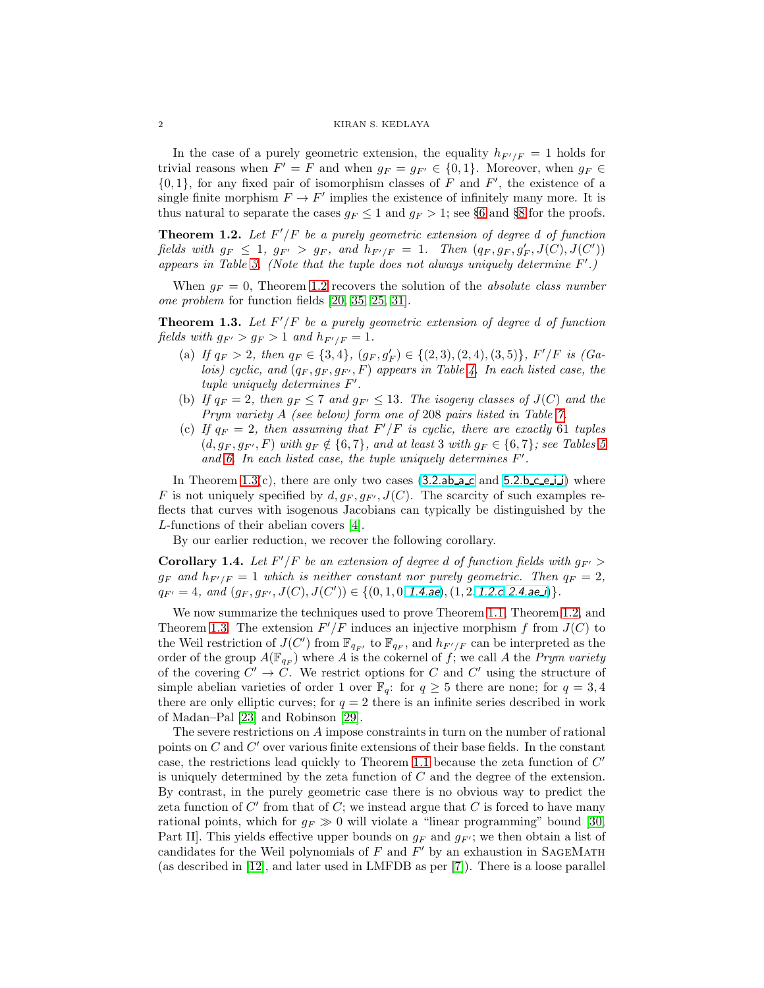#### 2 KIRAN S. KEDLAYA

In the case of a purely geometric extension, the equality  $h_{F'/F} = 1$  holds for trivial reasons when  $F' = F$  and when  $g_F = g_{F'} \in \{0, 1\}$ . Moreover, when  $g_F \in$  $\{0,1\}$ , for any fixed pair of isomorphism classes of F and F', the existence of a single finite morphism  $F \to F'$  implies the existence of infinitely many more. It is thus natural to separate the cases  $g_F \leq 1$  and  $g_F > 1$ ; see §[6](#page-7-0) and §[8](#page-10-0) for the proofs.

<span id="page-1-0"></span>**Theorem 1.2.** Let  $F'/F$  be a purely geometric extension of degree d of function fields with  $g_F \leq 1$ ,  $g_{F'} > g_F$ , and  $h_{F'/F} = 1$ . Then  $(q_F, g_F, g'_F, J(C), J(C'))$ appears in Table [3.](#page-14-0) (Note that the tuple does not always uniquely determine F'.)

When  $g_F = 0$ , Theorem [1.2](#page-1-0) recovers the solution of the *absolute class number* one problem for function fields [\[20,](#page-13-6) [35,](#page-13-7) [25,](#page-13-8) [31\]](#page-13-9).

<span id="page-1-1"></span>**Theorem 1.3.** Let  $F'/F$  be a purely geometric extension of degree d of function fields with  $q_F > q_F > 1$  and  $h_{F'/F} = 1$ .

- (a) If  $q_F > 2$ , then  $q_F \in \{3, 4\}$ ,  $(g_F, g'_F) \in \{(2, 3), (2, 4), (3, 5)\}$ ,  $F'/F$  is  $(Ga-F')$ lois) cyclic, and  $(q_F, g_F, g_F, F)$  appears in Table [4.](#page-14-1) In each listed case, the tuple uniquely determines F'.
- (b) If  $q_F = 2$ , then  $g_F \le 7$  and  $g_{F'} \le 13$ . The isogeny classes of  $J(C)$  and the Prym variety A (see below) form one of 208 pairs listed in Table [7.](#page-16-0)
- (c) If  $q_F = 2$ , then assuming that  $F'/F$  is cyclic, there are exactly 61 tuples  $(d, g_F, g_{F'}, F)$  with  $g_F \notin \{6, 7\}$ , and at least 3 with  $g_F \in \{6, 7\}$ ; see Tables [5](#page-14-2) and [6.](#page-15-0) In each listed case, the tuple uniquely determines  $F'$ .

In Theorem  $1.3(c)$ , there are only two cases  $(3.2.a b.a.c. and 5.2.b.c.e.i.)$  $(3.2.a b.a.c. and 5.2.b.c.e.i.)$  $(3.2.a b.a.c. and 5.2.b.c.e.i.)$  where F is not uniquely specified by  $d, g_F, g_{F'}$ ,  $J(C)$ . The scarcity of such examples reflects that curves with isogenous Jacobians can typically be distinguished by the L-functions of their abelian covers [\[4\]](#page-12-1).

By our earlier reduction, we recover the following corollary.

**Corollary 1.4.** Let  $F'/F$  be an extension of degree d of function fields with  $g_{F'}$  $g_F$  and  $h_{F'/F} = 1$  which is neither constant nor purely geometric. Then  $q_F = 2$ ,  $q_{F'} = 4$ , and  $(g_F, g_{F'}, J(C), J(C')) \in \{(0, 1, 0, 1.4 \text{ae}), (1, 2, 1.2 \text{c}, 2.4 \text{ae-1})\}.$ 

We now summarize the techniques used to prove Theorem [1.1,](#page-0-0) Theorem [1.2,](#page-1-0) and Theorem [1.3.](#page-1-1) The extension  $F'/F$  induces an injective morphism f from  $J(C)$  to the Weil restriction of  $J(C')$  from  $\mathbb{F}_{q_F}$ , to  $\mathbb{F}_{q_F}$ , and  $h_{F'/F}$  can be interpreted as the order of the group  $A(\mathbb{F}_{q_F})$  where A is the cokernel of f; we call A the Prym variety of the covering  $C' \to \overline{C}$ . We restrict options for C and C' using the structure of simple abelian varieties of order 1 over  $\mathbb{F}_q$ : for  $q \geq 5$  there are none; for  $q = 3, 4$ there are only elliptic curves; for  $q = 2$  there is an infinite series described in work of Madan–Pal [\[23\]](#page-13-10) and Robinson [\[29\]](#page-13-11).

The severe restrictions on A impose constraints in turn on the number of rational points on  $C$  and  $C'$  over various finite extensions of their base fields. In the constant case, the restrictions lead quickly to Theorem [1.1](#page-0-0) because the zeta function of  $C'$ is uniquely determined by the zeta function of C and the degree of the extension. By contrast, in the purely geometric case there is no obvious way to predict the zeta function of  $C'$  from that of  $C$ ; we instead argue that  $C$  is forced to have many rational points, which for  $g_F \gg 0$  will violate a "linear programming" bound [\[30,](#page-13-12) Part II]. This yields effective upper bounds on  $g_F$  and  $g_{F'}$ ; we then obtain a list of candidates for the Weil polynomials of  $F$  and  $F'$  by an exhaustion in SAGEMATH (as described in [\[12\]](#page-13-13), and later used in LMFDB as per [\[7\]](#page-13-14)). There is a loose parallel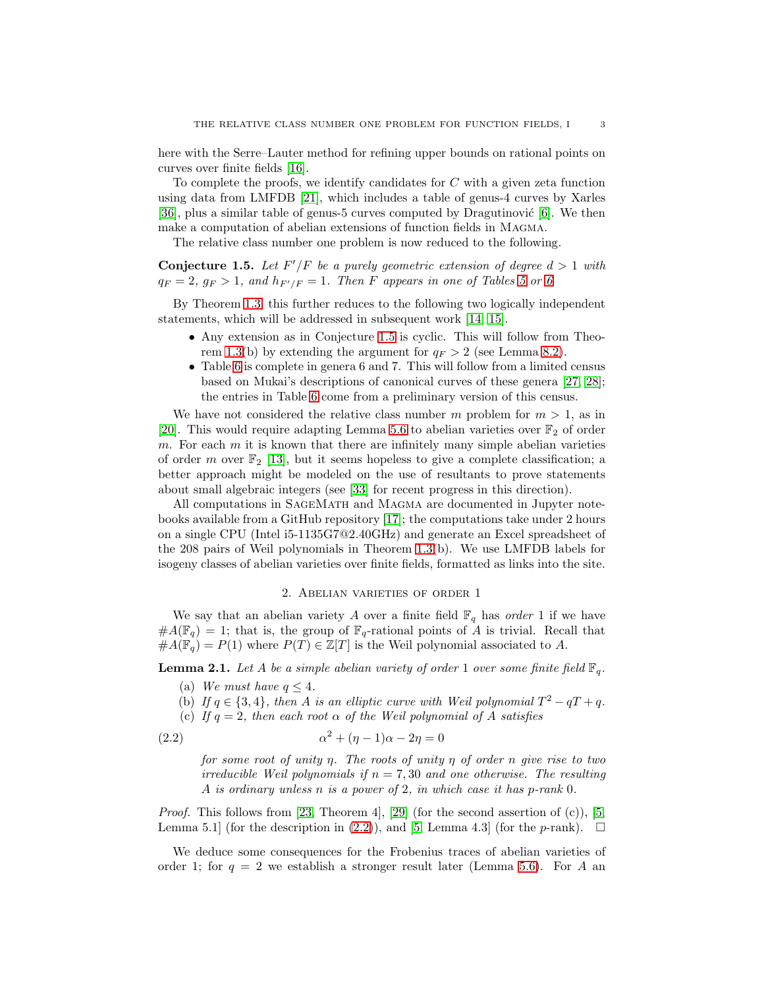here with the Serre–Lauter method for refining upper bounds on rational points on curves over finite fields [\[16\]](#page-13-15).

To complete the proofs, we identify candidates for  $C$  with a given zeta function using data from LMFDB [\[21\]](#page-13-16), which includes a table of genus-4 curves by Xarles [\[36\]](#page-13-17), plus a similar table of genus-5 curves computed by Dragutinović  $[6]$ . We then make a computation of abelian extensions of function fields in Magma.

The relative class number one problem is now reduced to the following.

<span id="page-2-0"></span>**Conjecture 1.5.** Let  $F'/F$  be a purely geometric extension of degree  $d > 1$  with  $q_F = 2$ ,  $g_F > 1$ , and  $h_{F'/F} = 1$ . Then F appears in one of Tables [5](#page-14-2) or [6](#page-15-0)

By Theorem [1.3,](#page-1-1) this further reduces to the following two logically independent statements, which will be addressed in subsequent work [\[14,](#page-13-18) [15\]](#page-13-19).

- Any extension as in Conjecture [1.5](#page-2-0) is cyclic. This will follow from Theo-rem [1.3\(](#page-1-1)b) by extending the argument for  $q_F > 2$  (see Lemma [8.2\)](#page-10-1).
- Table [6](#page-15-0) is complete in genera 6 and 7. This will follow from a limited census based on Mukai's descriptions of canonical curves of these genera [\[27,](#page-13-20) [28\]](#page-13-21); the entries in Table [6](#page-15-0) come from a preliminary version of this census.

We have not considered the relative class number m problem for  $m > 1$ , as in [\[20\]](#page-13-6). This would require adapting Lemma [5.6](#page-6-0) to abelian varieties over  $\mathbb{F}_2$  of order m. For each  $m$  it is known that there are infinitely many simple abelian varieties of order m over  $\mathbb{F}_2$  [\[13\]](#page-13-22), but it seems hopeless to give a complete classification; a better approach might be modeled on the use of resultants to prove statements about small algebraic integers (see [\[33\]](#page-13-23) for recent progress in this direction).

All computations in SageMath and Magma are documented in Jupyter notebooks available from a GitHub repository [\[17\]](#page-13-24); the computations take under 2 hours on a single CPU (Intel i5-1135G7@2.40GHz) and generate an Excel spreadsheet of the 208 pairs of Weil polynomials in Theorem [1.3\(](#page-1-1)b). We use LMFDB labels for isogeny classes of abelian varieties over finite fields, formatted as links into the site.

## 2. Abelian varieties of order 1

We say that an abelian variety A over a finite field  $\mathbb{F}_q$  has order 1 if we have  $#A(\mathbb{F}_q) = 1$ ; that is, the group of  $\mathbb{F}_q$ -rational points of A is trivial. Recall that  $#A(\mathbb{F}_{q}) = P(1)$  where  $P(T) \in \mathbb{Z}[T]$  is the Weil polynomial associated to A.

<span id="page-2-2"></span>**Lemma 2.1.** Let A be a simple abelian variety of order 1 over some finite field  $\mathbb{F}_q$ .

- (a) We must have  $q \leq 4$ .
- (b) If  $q \in \{3, 4\}$ , then A is an elliptic curve with Weil polynomial  $T^2 qT + q$ .
- (c) If  $q = 2$ , then each root  $\alpha$  of the Weil polynomial of A satisfies

$$
\alpha^2 + (\eta - 1)\alpha - 2\eta = 0
$$

<span id="page-2-1"></span>for some root of unity  $\eta$ . The roots of unity  $\eta$  of order n give rise to two irreducible Weil polynomials if  $n = 7,30$  and one otherwise. The resulting A is ordinary unless n is a power of 2, in which case it has p-rank 0.

*Proof.* This follows from [\[23,](#page-13-10) Theorem 4], [\[29\]](#page-13-11) (for the second assertion of (c)), [\[5,](#page-12-2) Lemma 5.1] (for the description in [\(2.2\)](#page-2-1)), and [\[5,](#page-12-2) Lemma 4.3] (for the *p*-rank).  $\Box$ 

We deduce some consequences for the Frobenius traces of abelian varieties of order 1; for  $q = 2$  we establish a stronger result later (Lemma [5.6\)](#page-6-0). For A an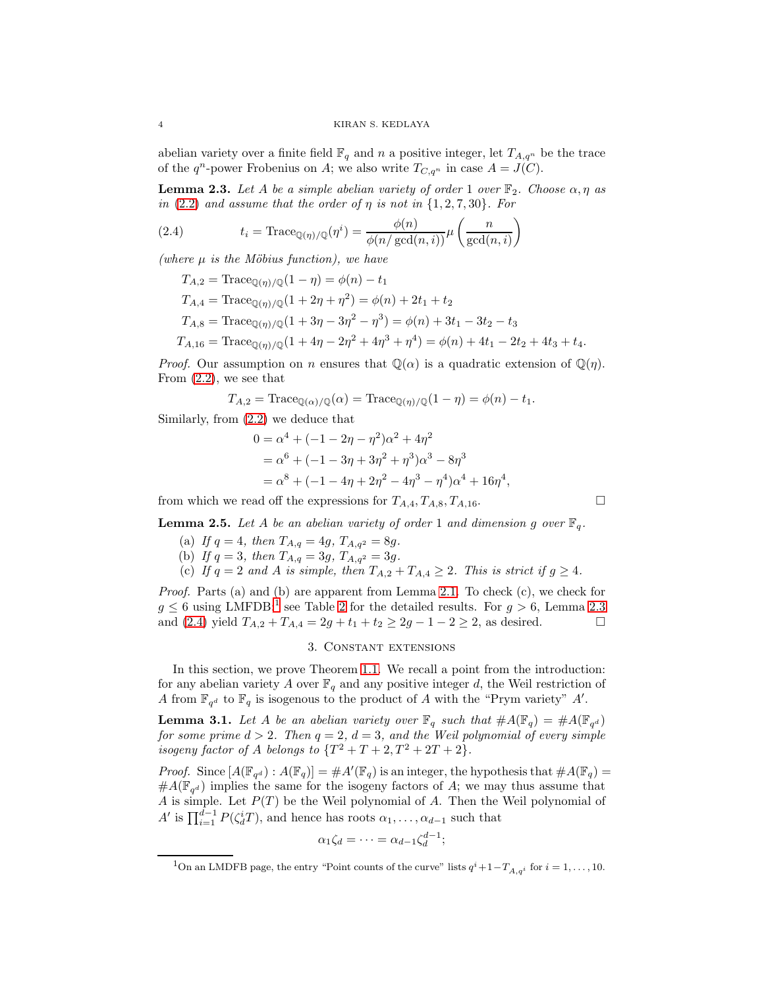abelian variety over a finite field  $\mathbb{F}_q$  and n a positive integer, let  $T_{A,q^n}$  be the trace of the  $q^n$ -power Frobenius on A; we also write  $T_{C,q^n}$  in case  $A = J(C)$ .

<span id="page-3-2"></span>**Lemma 2.3.** Let A be a simple abelian variety of order 1 over  $\mathbb{F}_2$ . Choose  $\alpha, \eta$  as in  $(2.2)$  and assume that the order of  $\eta$  is not in  $\{1, 2, 7, 30\}$ . For

(2.4) 
$$
t_i = \text{Trace}_{\mathbb{Q}(\eta)/\mathbb{Q}}(\eta^i) = \frac{\phi(n)}{\phi(n/\gcd(n,i))} \mu\left(\frac{n}{\gcd(n,i)}\right)
$$

(where  $\mu$  is the Möbius function), we have

<span id="page-3-3"></span>
$$
T_{A,2} = \text{Trace}_{\mathbb{Q}(\eta)/\mathbb{Q}}(1-\eta) = \phi(n) - t_1
$$
  
\n
$$
T_{A,4} = \text{Trace}_{\mathbb{Q}(\eta)/\mathbb{Q}}(1+2\eta+\eta^2) = \phi(n) + 2t_1 + t_2
$$
  
\n
$$
T_{A,8} = \text{Trace}_{\mathbb{Q}(\eta)/\mathbb{Q}}(1+3\eta-3\eta^2-\eta^3) = \phi(n) + 3t_1 - 3t_2 - t_3
$$
  
\n
$$
T_{A,16} = \text{Trace}_{\mathbb{Q}(\eta)/\mathbb{Q}}(1+4\eta-2\eta^2+4\eta^3+\eta^4) = \phi(n) + 4t_1 - 2t_2 + 4t_3 + t_4.
$$

*Proof.* Our assumption on n ensures that  $\mathbb{Q}(\alpha)$  is a quadratic extension of  $\mathbb{Q}(\eta)$ . From [\(2.2\)](#page-2-1), we see that

$$
T_{A,2} = \text{Trace}_{\mathbb{Q}(\alpha)/\mathbb{Q}}(\alpha) = \text{Trace}_{\mathbb{Q}(\eta)/\mathbb{Q}}(1-\eta) = \phi(n) - t_1.
$$

Similarly, from [\(2.2\)](#page-2-1) we deduce that

$$
0 = \alpha^{4} + (-1 - 2\eta - \eta^{2})\alpha^{2} + 4\eta^{2}
$$
  
=  $\alpha^{6} + (-1 - 3\eta + 3\eta^{2} + \eta^{3})\alpha^{3} - 8\eta^{3}$   
=  $\alpha^{8} + (-1 - 4\eta + 2\eta^{2} - 4\eta^{3} - \eta^{4})\alpha^{4} + 16\eta^{4}$ ,

from which we read off the expressions for  $T_{A,4}, T_{A,8}, T_{A,16}$ .

<span id="page-3-5"></span>**Lemma 2.5.** Let A be an abelian variety of order 1 and dimension g over  $\mathbb{F}_q$ .

- (a) If  $q = 4$ , then  $T_{A,q} = 4g$ ,  $T_{A,q^2} = 8g$ .
- (b) If  $q = 3$ , then  $T_{A,q} = 3g$ ,  $T_{A,q^2} = 3g$ .
- (c) If  $q = 2$  and A is simple, then  $T_{A,2} + T_{A,4} \geq 2$ . This is strict if  $q \geq 4$ .

Proof. Parts (a) and (b) are apparent from Lemma [2.1.](#page-2-2) To check (c), we check for  $g \leq 6$  using LMFDB;<sup>[1](#page-3-1)</sup> see Table [2](#page-7-1) for the detailed results. For  $g > 6$ , Lemma [2.3](#page-3-2) and [\(2.4\)](#page-3-3) yield  $T_{A,2} + T_{A,4} = 2g + t_1 + t_2 \geq 2g - 1 - 2 \geq 2$ , as desired.

# 3. Constant extensions

<span id="page-3-0"></span>In this section, we prove Theorem [1.1.](#page-0-0) We recall a point from the introduction: for any abelian variety A over  $\mathbb{F}_q$  and any positive integer d, the Weil restriction of A from  $\mathbb{F}_{q^d}$  to  $\mathbb{F}_q$  is isogenous to the product of A with the "Prym variety" A'.

<span id="page-3-4"></span>**Lemma 3.1.** Let A be an abelian variety over  $\mathbb{F}_q$  such that  $\#A(\mathbb{F}_q) = \#A(\mathbb{F}_{q^d})$ for some prime  $d > 2$ . Then  $q = 2$ ,  $d = 3$ , and the Weil polynomial of every simple isogeny factor of A belongs to  $\{T^2 + T + 2, T^2 + 2T + 2\}.$ 

*Proof.* Since  $[A(\mathbb{F}_{q^d}) : A(\mathbb{F}_q)] = \#A'(\mathbb{F}_q)$  is an integer, the hypothesis that  $\#A(\mathbb{F}_q) =$  $#A(\mathbb{F}_{q^d})$  implies the same for the isogeny factors of A; we may thus assume that A is simple. Let  $P(T)$  be the Weil polynomial of A. Then the Weil polynomial of A' is  $\prod_{i=1}^{d-1} P(\zeta_d^i T)$ , and hence has roots  $\alpha_1, \ldots, \alpha_{d-1}$  such that

$$
\alpha_1 \zeta_d = \cdots = \alpha_{d-1} \zeta_d^{d-1};
$$

<span id="page-3-1"></span><sup>&</sup>lt;sup>1</sup>On an LMDFB page, the entry "Point counts of the curve" lists  $q^{i}+1-T_{A,q^{i}}$  for  $i=1,\ldots,10$ .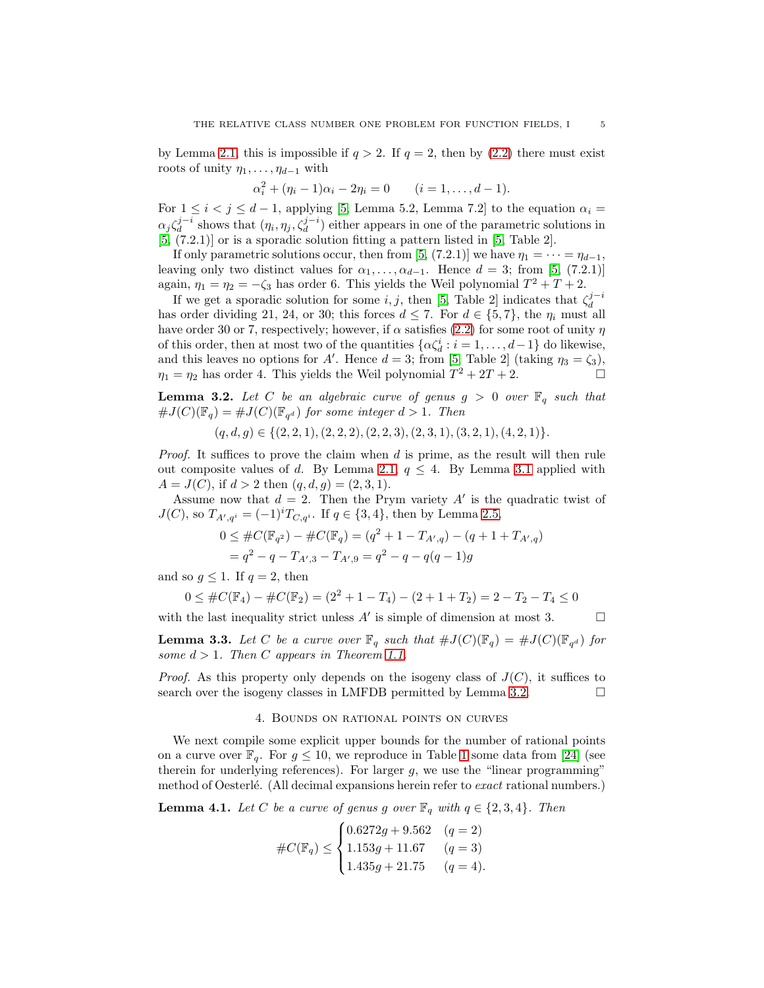by Lemma [2.1,](#page-2-2) this is impossible if  $q > 2$ . If  $q = 2$ , then by [\(2.2\)](#page-2-1) there must exist roots of unity  $\eta_1, \ldots, \eta_{d-1}$  with

$$
\alpha_i^2 + (\eta_i - 1)\alpha_i - 2\eta_i = 0 \qquad (i = 1, ..., d - 1).
$$

For  $1 \leq i < j \leq d-1$ , applying [\[5,](#page-12-2) Lemma 5.2, Lemma 7.2] to the equation  $\alpha_i =$  $\alpha_j \zeta_d^{j-i}$  shows that  $(\eta_i, \eta_j, \zeta_d^{j-i})$  either appears in one of the parametric solutions in [\[5,](#page-12-2) (7.2.1)] or is a sporadic solution fitting a pattern listed in [\[5,](#page-12-2) Table 2].

If only parametric solutions occur, then from [\[5,](#page-12-2) (7.2.1)] we have  $\eta_1 = \cdots = \eta_{d-1}$ , leaving only two distinct values for  $\alpha_1, \ldots, \alpha_{d-1}$ . Hence  $d = 3$ ; from [\[5,](#page-12-2) (7.2.1)] again,  $\eta_1 = \eta_2 = -\zeta_3$  has order 6. This yields the Weil polynomial  $T^2 + T + 2$ .

If we get a sporadic solution for some *i*, *j*, then [\[5,](#page-12-2) Table 2] indicates that  $\zeta_d^{j-i}$ has order dividing 21, 24, or 30; this forces  $d \leq 7$ . For  $d \in \{5, 7\}$ , the  $\eta_i$  must all have order 30 or 7, respectively; however, if  $\alpha$  satisfies [\(2.2\)](#page-2-1) for some root of unity  $\eta$ of this order, then at most two of the quantities  $\{\alpha \zeta_d^i : i = 1, \ldots, d-1\}$  do likewise, and this leaves no options for A'. Hence  $d = 3$ ; from [\[5,](#page-12-2) Table 2] (taking  $\eta_3 = \zeta_3$ ),  $\eta_1 = \eta_2$  has order 4. This yields the Weil polynomial  $T^2 + 2T + 2$ .

<span id="page-4-0"></span>**Lemma 3.2.** Let C be an algebraic curve of genus  $g > 0$  over  $\mathbb{F}_q$  such that  $\#J(C)(\mathbb{F}_q) = \#J(C)(\mathbb{F}_{q^d})$  for some integer  $d > 1$ . Then

$$
(q, d, g) \in \{(2, 2, 1), (2, 2, 2), (2, 2, 3), (2, 3, 1), (3, 2, 1), (4, 2, 1)\}.
$$

*Proof.* It suffices to prove the claim when  $d$  is prime, as the result will then rule out composite values of d. By Lemma [2.1,](#page-2-2)  $q \leq 4$ . By Lemma [3.1](#page-3-4) applied with  $A = J(C)$ , if  $d > 2$  then  $(q, d, g) = (2, 3, 1)$ .

Assume now that  $d = 2$ . Then the Prym variety A' is the quadratic twist of  $J(C)$ , so  $T_{A',q^i} = (-1)^i T_{C,q^i}$ . If  $q \in \{3,4\}$ , then by Lemma [2.5,](#page-3-5)

$$
0 \leq #C(\mathbb{F}_{q^2}) - #C(\mathbb{F}_{q}) = (q^2 + 1 - T_{A',q}) - (q + 1 + T_{A',q})
$$
  
=  $q^2 - q - T_{A',3} - T_{A',9} = q^2 - q - q(q - 1)g$ 

and so  $q \leq 1$ . If  $q = 2$ , then

$$
0 \leq #C(\mathbb{F}_4) - #C(\mathbb{F}_2) = (2^2 + 1 - T_4) - (2 + 1 + T_2) = 2 - T_2 - T_4 \leq 0
$$

with the last inequality strict unless  $A'$  is simple of dimension at most 3.  $\Box$ 

**Lemma 3.3.** Let C be a curve over  $\mathbb{F}_q$  such that  $\#J(C)(\mathbb{F}_q) = \#J(C)(\mathbb{F}_{q^d})$  for some  $d > 1$ . Then C appears in Theorem [1.1.](#page-0-0)

*Proof.* As this property only depends on the isogeny class of  $J(C)$ , it suffices to search over the isogeny classes in LMFDB permitted by Lemma [3.2.](#page-4-0)

#### 4. Bounds on rational points on curves

We next compile some explicit upper bounds for the number of rational points on a curve over  $\mathbb{F}_q$ . For  $g \leq 10$  $g \leq 10$  $g \leq 10$ , we reproduce in Table 1 some data from [\[24\]](#page-13-25) (see therein for underlying references). For larger  $g$ , we use the "linear programming" method of Oesterlé. (All decimal expansions herein refer to exact rational numbers.)

<span id="page-4-1"></span>**Lemma 4.1.** Let C be a curve of genus g over  $\mathbb{F}_q$  with  $q \in \{2,3,4\}$ . Then

$$
\#C(\mathbb{F}_q) \le \begin{cases} 0.6272g + 9.562 & (q = 2) \\ 1.153g + 11.67 & (q = 3) \\ 1.435g + 21.75 & (q = 4). \end{cases}
$$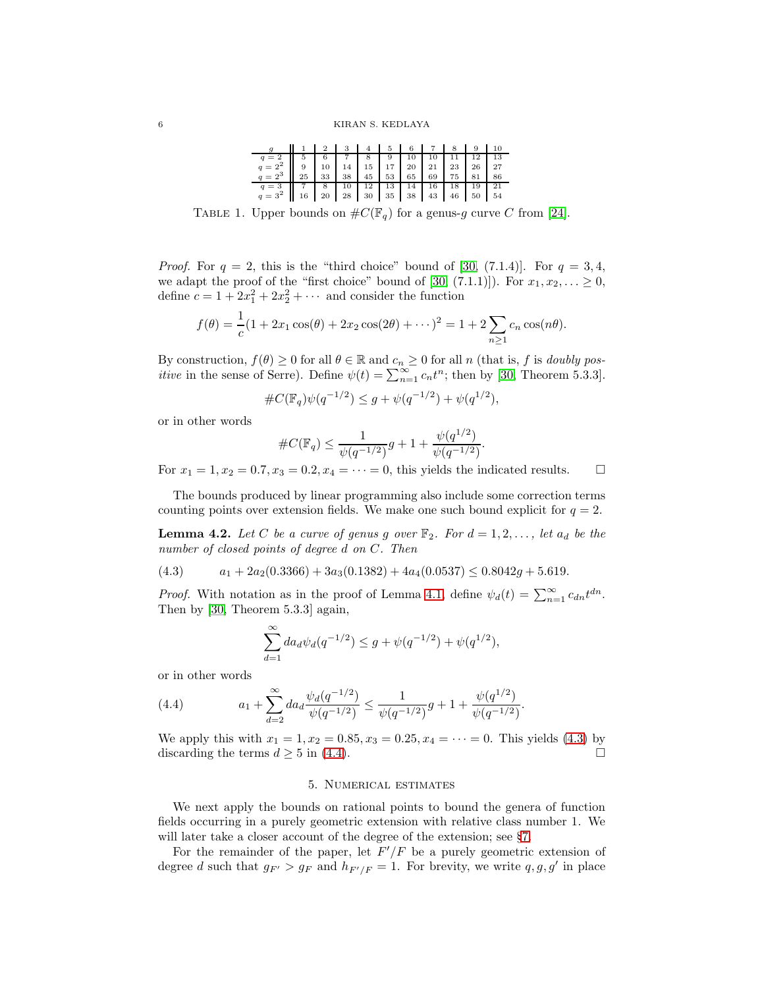| $g \parallel 1 \parallel 2 \parallel 3 \parallel 4 \parallel 5 \parallel 6 \parallel 7 \parallel 8 \parallel 9 \parallel 10$                                                                                  |  |  |  |  |  |
|---------------------------------------------------------------------------------------------------------------------------------------------------------------------------------------------------------------|--|--|--|--|--|
|                                                                                                                                                                                                               |  |  |  |  |  |
|                                                                                                                                                                                                               |  |  |  |  |  |
| $\begin{array}{c ccccc} q=2 & 5 & 6 & 7 & 8 & 9 & 10 & 10 & 11 & 12 & 13 \\ q=2^2 & 9 & 10 & 14 & 15 & 17 & 20 & 21 & 23 & 26 & 27 \\ q=2^3 & 25 & 33 & 38 & 45 & 53 & 65 & 69 & 75 & 81 & 86 \\ \end{array}$ |  |  |  |  |  |
|                                                                                                                                                                                                               |  |  |  |  |  |
|                                                                                                                                                                                                               |  |  |  |  |  |

<span id="page-5-0"></span>TABLE 1. Upper bounds on  $\#C(\mathbb{F}_q)$  for a genus-g curve C from [\[24\]](#page-13-25).

*Proof.* For  $q = 2$ , this is the "third choice" bound of [\[30,](#page-13-12) (7.1.4)]. For  $q = 3, 4$ , we adapt the proof of the "first choice" bound of [\[30,](#page-13-12) (7.1.1)]). For  $x_1, x_2, \ldots \ge 0$ , define  $c = 1 + 2x_1^2 + 2x_2^2 + \cdots$  and consider the function

$$
f(\theta) = \frac{1}{c}(1 + 2x_1 \cos(\theta) + 2x_2 \cos(2\theta) + \cdots)^2 = 1 + 2 \sum_{n \ge 1} c_n \cos(n\theta).
$$

By construction,  $f(\theta) \ge 0$  for all  $\theta \in \mathbb{R}$  and  $c_n \ge 0$  for all n (that is, f is *doubly positive* in the sense of Serre). Define  $\psi(t) = \sum_{n=1}^{\infty} c_n t^n$ ; then by [\[30,](#page-13-12) Theorem 5.3.3].

$$
\#C(\mathbb{F}_q)\psi(q^{-1/2}) \le g + \psi(q^{-1/2}) + \psi(q^{1/2}),
$$

or in other words

$$
\#C(\mathbb{F}_q)\leq \frac{1}{\psi(q^{-1/2})}g+1+\frac{\psi(q^{1/2})}{\psi(q^{-1/2})}.
$$

For  $x_1 = 1, x_2 = 0.7, x_3 = 0.2, x_4 = \cdots = 0$ , this yields the indicated results.  $\Box$ 

The bounds produced by linear programming also include some correction terms counting points over extension fields. We make one such bound explicit for  $q = 2$ .

<span id="page-5-3"></span>**Lemma 4.2.** Let C be a curve of genus g over  $\mathbb{F}_2$ . For  $d = 1, 2, \ldots$ , let  $a_d$  be the number of closed points of degree d on C. Then

<span id="page-5-1"></span>
$$
(4.3) \qquad a_1 + 2a_2(0.3366) + 3a_3(0.1382) + 4a_4(0.0537) \le 0.8042g + 5.619.
$$

*Proof.* With notation as in the proof of Lemma [4.1,](#page-4-1) define  $\psi_d(t) = \sum_{n=1}^{\infty} c_{dn} t^{dn}$ . Then by [\[30,](#page-13-12) Theorem 5.3.3] again,

<span id="page-5-2"></span>
$$
\sum_{d=1}^{\infty} da_d \psi_d(q^{-1/2}) \le g + \psi(q^{-1/2}) + \psi(q^{1/2}),
$$

or in other words

(4.4) 
$$
a_1 + \sum_{d=2}^{\infty} da_d \frac{\psi_d(q^{-1/2})}{\psi(q^{-1/2})} \leq \frac{1}{\psi(q^{-1/2})} g + 1 + \frac{\psi(q^{1/2})}{\psi(q^{-1/2})}
$$

We apply this with  $x_1 = 1, x_2 = 0.85, x_3 = 0.25, x_4 = \cdots = 0$ . This yields [\(4.3\)](#page-5-1) by discarding the terms  $d \geq 5$  in [\(4.4\)](#page-5-2).

.

### 5. Numerical estimates

We next apply the bounds on rational points to bound the genera of function fields occurring in a purely geometric extension with relative class number 1. We will later take a closer account of the degree of the extension; see §[7.](#page-8-0)

For the remainder of the paper, let  $F'/F$  be a purely geometric extension of degree d such that  $g_{F'} > g_F$  and  $h_{F'/F} = 1$ . For brevity, we write  $q, g, g'$  in place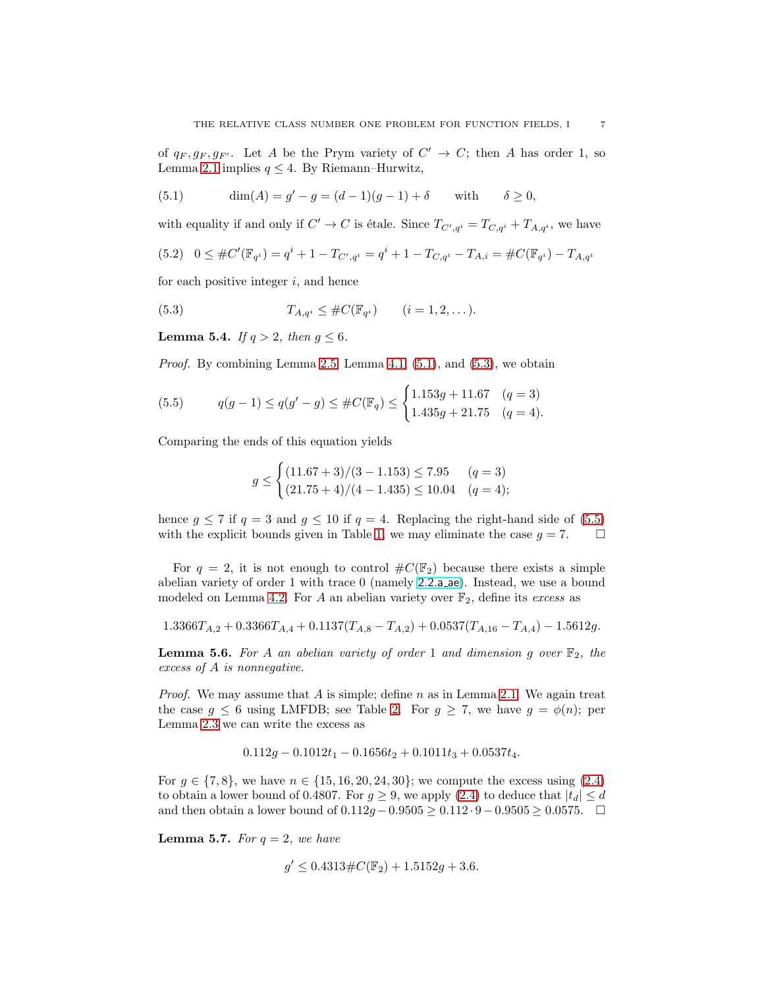of  $q_F, g_F, g_{F'}$ . Let A be the Prym variety of  $C' \rightarrow C$ ; then A has order 1, so Lemma [2.1](#page-2-2) implies  $q \leq 4$ . By Riemann–Hurwitz,

<span id="page-6-1"></span>(5.1) 
$$
\dim(A) = g' - g = (d-1)(g-1) + \delta
$$
 with  $\delta \ge 0$ ,

<span id="page-6-5"></span>with equality if and only if  $C' \to C$  is étale. Since  $T_{C',q^i} = T_{C,q^i} + T_{A,q^i}$ , we have (5.2)  $0 \leq #C'(\mathbb{F}_{q^i}) = q^i + 1 - T_{C',q^i} = q^i + 1 - T_{C,q^i} - T_{A,i} = #C(\mathbb{F}_{q^i}) - T_{A,q^i}$ 

for each positive integer  $i$ , and hence

<span id="page-6-2"></span>(5.3) 
$$
T_{A,q^i} \leq \#C(\mathbb{F}_{q^i}) \qquad (i = 1, 2, ...).
$$

<span id="page-6-6"></span>**Lemma 5.4.** If  $q > 2$ , then  $q \leq 6$ .

*Proof.* By combining Lemma [2.5,](#page-3-5) Lemma [4.1,](#page-4-1)  $(5.1)$ , and  $(5.3)$ , we obtain

<span id="page-6-3"></span>(5.5) 
$$
q(g-1) \le q(g'-g) \le \#C(\mathbb{F}_q) \le \begin{cases} 1.153g + 11.67 & (q = 3) \\ 1.435g + 21.75 & (q = 4). \end{cases}
$$

Comparing the ends of this equation yields

$$
g \le \begin{cases} (11.67 + 3)/(3 - 1.153) \le 7.95 & (q = 3) \\ (21.75 + 4)/(4 - 1.435) \le 10.04 & (q = 4); \end{cases}
$$

hence  $q \le 7$  if  $q = 3$  and  $q \le 10$  if  $q = 4$ . Replacing the right-hand side of [\(5.5\)](#page-6-3) with the explicit bounds given in Table [1,](#page-5-0) we may eliminate the case  $g = 7$ .  $\Box$ 

For  $q = 2$ , it is not enough to control  $\#C(\mathbb{F}_2)$  because there exists a simple abelian variety of order 1 with trace 0 (namely [2.2.a](http://www.lmfdb.org/Variety/Abelian/Fq/2.2.a_ae) ae). Instead, we use a bound modeled on Lemma [4.2.](#page-5-3) For A an abelian variety over  $\mathbb{F}_2$ , define its excess as

$$
1.3366T_{A,2} + 0.3366T_{A,4} + 0.1137(T_{A,8} - T_{A,2}) + 0.0537(T_{A,16} - T_{A,4}) - 1.5612g.
$$

<span id="page-6-0"></span>**Lemma 5.6.** For A an abelian variety of order 1 and dimension g over  $\mathbb{F}_2$ , the excess of A is nonnegative.

*Proof.* We may assume that A is simple; define  $n$  as in Lemma [2.1.](#page-2-2) We again treat the case  $g \leq 6$  using LMFDB; see Table [2.](#page-7-1) For  $g \geq 7$ , we have  $g = \phi(n)$ ; per Lemma [2.3](#page-3-2) we can write the excess as

$$
0.112g - 0.1012t_1 - 0.1656t_2 + 0.1011t_3 + 0.0537t_4.
$$

For  $g \in \{7, 8\}$ , we have  $n \in \{15, 16, 20, 24, 30\}$ ; we compute the excess using  $(2.4)$ to obtain a lower bound of 0.4807. For  $g \geq 9$ , we apply [\(2.4\)](#page-3-3) to deduce that  $|t_d| \leq d$ and then obtain a lower bound of  $0.112g - 0.9505 \ge 0.112 \cdot 9 - 0.9505 \ge 0.0575$ . □

<span id="page-6-4"></span>**Lemma 5.7.** For  $q = 2$ , we have

$$
g' \le 0.4313 \# C(\mathbb{F}_2) + 1.5152g + 3.6.
$$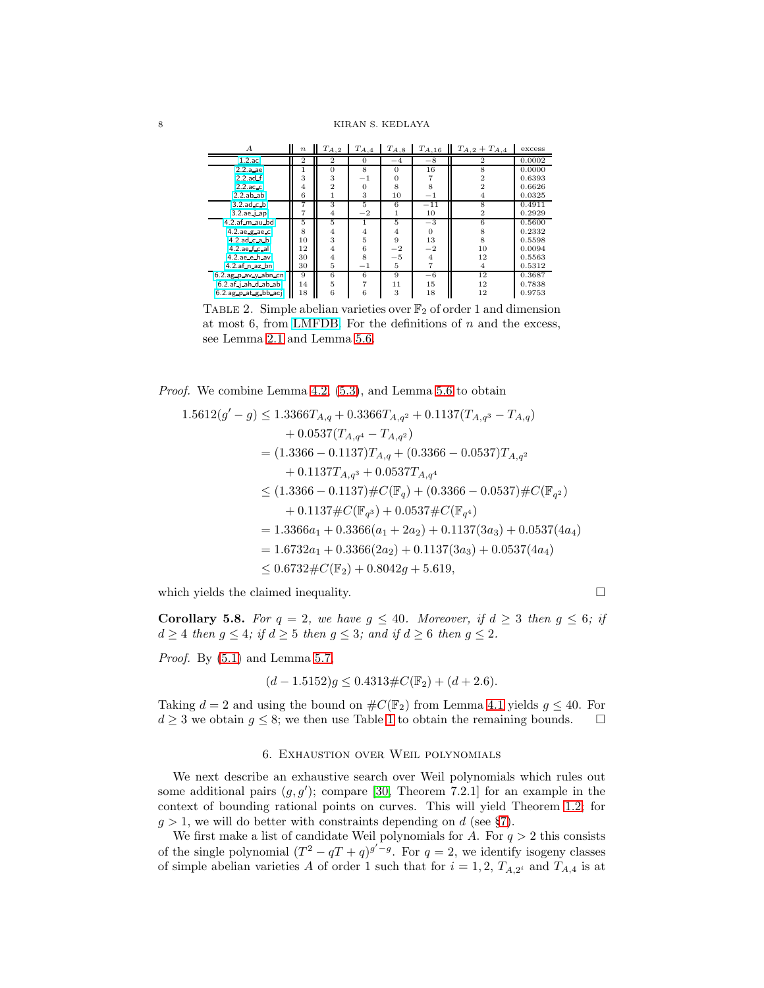| $\boldsymbol{A}$               | $\boldsymbol{n}$ | $T_{A,2}$      | $T_{A,4}$      | $T_{A,8}$ | $T_{A,16}$     | $T_{A,2} + T_{A,4}$     | excess |
|--------------------------------|------------------|----------------|----------------|-----------|----------------|-------------------------|--------|
| $1.2 \text{.}$ ac              | $\overline{2}$   | $\overline{2}$ | $\overline{0}$ | $-4$      | $-8$           | 2                       | 0.0002 |
| $2.2.a$ ae.                    |                  | $\Omega$       | 8              | $\Omega$  | 16             | 8                       | 0.0000 |
| $2.2$ .ad.f                    | 3                | 3              | $-1$           | 0         |                | 2                       | 0.6393 |
| $2.2$ ac. $c$                  | 4                | 2              | $\overline{0}$ | 8         | 8              |                         | 0.6626 |
| $2.2$ .ab $-$ ab               | 6                |                | 3              | 10        | $-1$           | $\overline{4}$          | 0.0325 |
| $3.2$ ad $c$ b                 |                  | 3              | 5              | 6         | $^{-11}$       | $\overline{\mathbf{8}}$ | 0.4911 |
| $3.2.$ ae $-1$ ap              |                  | $\overline{4}$ | $^{-2}$        |           | 10             | $\mathbf{2}$            | 0.2929 |
| $4.2.a f$ <sub>-m</sub> _au_bd | 5                | 5              |                | 5         | $-3$           | 6                       | 0.5600 |
| $4.2$ .ae.g.ae.c               | 8                | 4              | $\overline{4}$ | 4         | $\Omega$       | 8                       | 0.2332 |
| $4.2$ ad $c$ a $b$             | 10               | 3              | 5              | 9         | 13             | 8                       | 0.5598 |
| $4.2$ .ae $f$ .c.al            | 12               | 4              | 6              | $^{-2}$   | $^{-2}$        | 10                      | 0.0094 |
| $4.2$ ae e h av                | 30               | $\overline{4}$ | 8              | $-5$      | $\overline{4}$ | 12                      | 0.5563 |
| $4.2.af_n_az_bn$               | 30               | 5              | $^{-1}$        | 5         | 7              | 4                       | 0.5312 |
| 6.2.ag p av y abn cn           | 9                | 6              | 6              | 9         | $-6$           | 12                      | 0.3687 |
| 6.2.af.j.ah.d.ab.ab            | 14               | 5              | $\overline{7}$ | 11        | 15             | 12                      | 0.7838 |
| 6.2.ag p at g bb acj           | 18               | 6              | 6              | 3         | 18             | 12                      | 0.9753 |

<span id="page-7-1"></span>TABLE 2. Simple abelian varieties over  $\mathbb{F}_2$  of order 1 and dimension at most 6, from [LMFDB.](https://www.lmfdb.org/Variety/Abelian/Fq/?q=2&simple=yes&g=1-6&abvar_point_count=%5B1%5D&search_type=List) For the definitions of  $n$  and the excess, see Lemma [2.1](#page-2-2) and Lemma [5.6.](#page-6-0)

Proof. We combine Lemma [4.2,](#page-5-3) [\(5.3\)](#page-6-2), and Lemma [5.6](#page-6-0) to obtain

$$
1.5612(g'-g) \leq 1.3366T_{A,q} + 0.3366T_{A,q^2} + 0.1137(T_{A,q^3} - T_{A,q})
$$
  
+ 0.0537(T\_{A,q^4} - T\_{A,q^2})  
= (1.3366 - 0.1137)T\_{A,q} + (0.3366 - 0.0537)T\_{A,q^2}  
+ 0.1137T\_{A,q^3} + 0.0537T\_{A,q^4}  
\leq (1.3366 - 0.1137) \# C(\mathbb{F}\_q) + (0.3366 - 0.0537) \# C(\mathbb{F}\_{q^2})  
+ 0.1137 \# C(\mathbb{F}\_{q^3}) + 0.0537 \# C(\mathbb{F}\_{q^4})  
= 1.3366a\_1 + 0.3366(a\_1 + 2a\_2) + 0.1137(3a\_3) + 0.0537(4a\_4)  
= 1.6732a\_1 + 0.3366(2a\_2) + 0.1137(3a\_3) + 0.0537(4a\_4)  
\leq 0.6732 \# C(\mathbb{F}\_2) + 0.8042g + 5.619,

which yields the claimed inequality.  $\Box$ 

<span id="page-7-2"></span>**Corollary 5.8.** For  $q = 2$ , we have  $q \leq 40$ . Moreover, if  $d \geq 3$  then  $q \leq 6$ ; if  $d \geq 4$  then  $g \leq 4$ ; if  $d \geq 5$  then  $g \leq 3$ ; and if  $d \geq 6$  then  $g \leq 2$ .

Proof. By [\(5.1\)](#page-6-1) and Lemma [5.7,](#page-6-4)

$$
(d - 1.5152)g \le 0.4313 \# C(\mathbb{F}_2) + (d + 2.6).
$$

Taking  $d = 2$  and using the bound on  $\#C(\mathbb{F}_2)$  from Lemma [4.1](#page-4-1) yields  $g \leq 40$ . For  $d \geq 3$  we obtain  $g \leq 8$ ; we then use Table [1](#page-5-0) to obtain the remaining bounds.  $\square$ 

### 6. Exhaustion over Weil polynomials

<span id="page-7-0"></span>We next describe an exhaustive search over Weil polynomials which rules out some additional pairs  $(g, g')$ ; compare [\[30,](#page-13-12) Theorem 7.2.1] for an example in the context of bounding rational points on curves. This will yield Theorem [1.2;](#page-1-0) for  $g > 1$ , we will do better with constraints depending on d (see §[7\)](#page-8-0).

We first make a list of candidate Weil polynomials for  $A$ . For  $q > 2$  this consists of the single polynomial  $(T^2 - qT + q)^{g'-g}$ . For  $q = 2$ , we identify isogeny classes of simple abelian varieties A of order 1 such that for  $i = 1, 2, T_{A,2}$  and  $T_{A,4}$  is at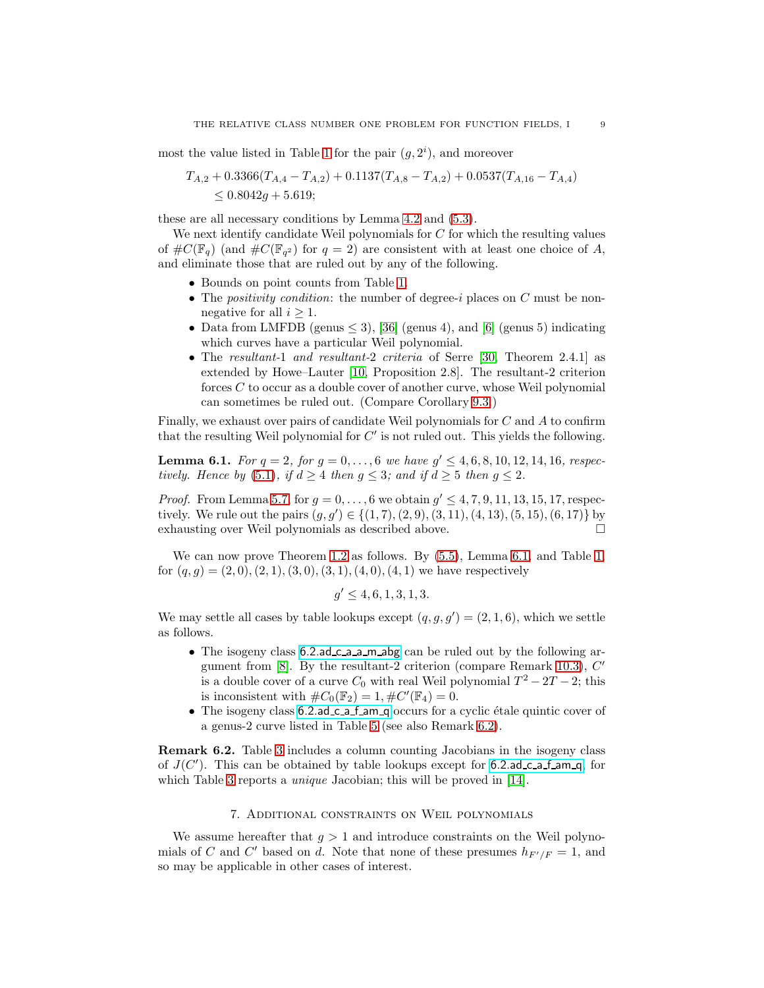most the value listed in Table [1](#page-5-0) for the pair  $(g, 2<sup>i</sup>)$ , and moreover

$$
T_{A,2} + 0.3366(T_{A,4} - T_{A,2}) + 0.1137(T_{A,8} - T_{A,2}) + 0.0537(T_{A,16} - T_{A,4})
$$
  
  $\leq 0.8042g + 5.619;$ 

these are all necessary conditions by Lemma [4.2](#page-5-3) and [\(5.3\)](#page-6-2).

We next identify candidate Weil polynomials for  $C$  for which the resulting values of  $\#C(\mathbb{F}_q)$  (and  $\#C(\mathbb{F}_{q^2})$  for  $q=2$ ) are consistent with at least one choice of A, and eliminate those that are ruled out by any of the following.

- Bounds on point counts from Table [1.](#page-5-0)
- The *positivity condition*: the number of degree-i places on  $C$  must be nonnegative for all  $i \geq 1$ .
- Data from LMFDB (genus  $\leq$  3), [\[36\]](#page-13-17) (genus 4), and [\[6\]](#page-13-5) (genus 5) indicating which curves have a particular Weil polynomial.
- The resultant-1 and resultant-2 criteria of Serre [\[30,](#page-13-12) Theorem 2.4.1] as extended by Howe–Lauter [\[10,](#page-13-26) Proposition 2.8]. The resultant-2 criterion forces C to occur as a double cover of another curve, whose Weil polynomial can sometimes be ruled out. (Compare Corollary [9.3.](#page-11-0))

Finally, we exhaust over pairs of candidate Weil polynomials for C and A to confirm that the resulting Weil polynomial for  $C'$  is not ruled out. This yields the following.

<span id="page-8-1"></span>**Lemma 6.1.** For  $q = 2$ , for  $g = 0, ..., 6$  we have  $g' \le 4, 6, 8, 10, 12, 14, 16$ , respec-tively. Hence by [\(5.1\)](#page-6-1), if  $d \geq 4$  then  $q \leq 3$ ; and if  $d \geq 5$  then  $q \leq 2$ .

*Proof.* From Lemma [5.7,](#page-6-4) for  $g = 0, ..., 6$  we obtain  $g' \le 4, 7, 9, 11, 13, 15, 17$ , respectively. We rule out the pairs  $(g, g') \in \{(1, 7), (2, 9), (3, 11), (4, 13), (5, 15), (6, 17)\}$  by exhausting over Weil polynomials as described above.

We can now prove Theorem [1.2](#page-1-0) as follows. By [\(5.5\)](#page-6-3), Lemma [6.1,](#page-8-1) and Table [1,](#page-5-0) for  $(q, g) = (2, 0), (2, 1), (3, 0), (3, 1), (4, 0), (4, 1)$  we have respectively

$$
g' \le 4, 6, 1, 3, 1, 3.
$$

We may settle all cases by table lookups except  $(q, g, g') = (2, 1, 6)$ , which we settle as follows.

- The isogeny class [6.2.ad](http://www.lmfdb.org/Variety/Abelian/Fq/6.2.ad_c_a_a_m_abg) c a a m abg can be ruled out by the following ar-gument from [\[8\]](#page-13-4). By the resultant-2 criterion (compare Remark [10.3\)](#page-12-3), C' is a double cover of a curve  $C_0$  with real Weil polynomial  $T^2 - 2T - 2$ ; this is inconsistent with  $\#C_0(\mathbb{F}_2) = 1, \#C'(\mathbb{F}_4) = 0.$
- The isogeny class  $6.2$  ad c a f am q occurs for a cyclic étale quintic cover of a genus-2 curve listed in Table [5](#page-14-2) (see also Remark [6.2\)](#page-8-2).

<span id="page-8-2"></span>Remark 6.2. Table [3](#page-14-0) includes a column counting Jacobians in the isogeny class of  $J(C')$ . This can be obtained by table lookups except for [6.2.ad](http://www.lmfdb.org/Variety/Abelian/Fq/6.2.ad_c_a_f_am_q) c a f am q, for which Table [3](#page-14-0) reports a *unique* Jacobian; this will be proved in [\[14\]](#page-13-18).

# 7. Additional constraints on Weil polynomials

<span id="page-8-0"></span>We assume hereafter that  $g > 1$  and introduce constraints on the Weil polynomials of C and C' based on d. Note that none of these presumes  $h_{F'/F} = 1$ , and so may be applicable in other cases of interest.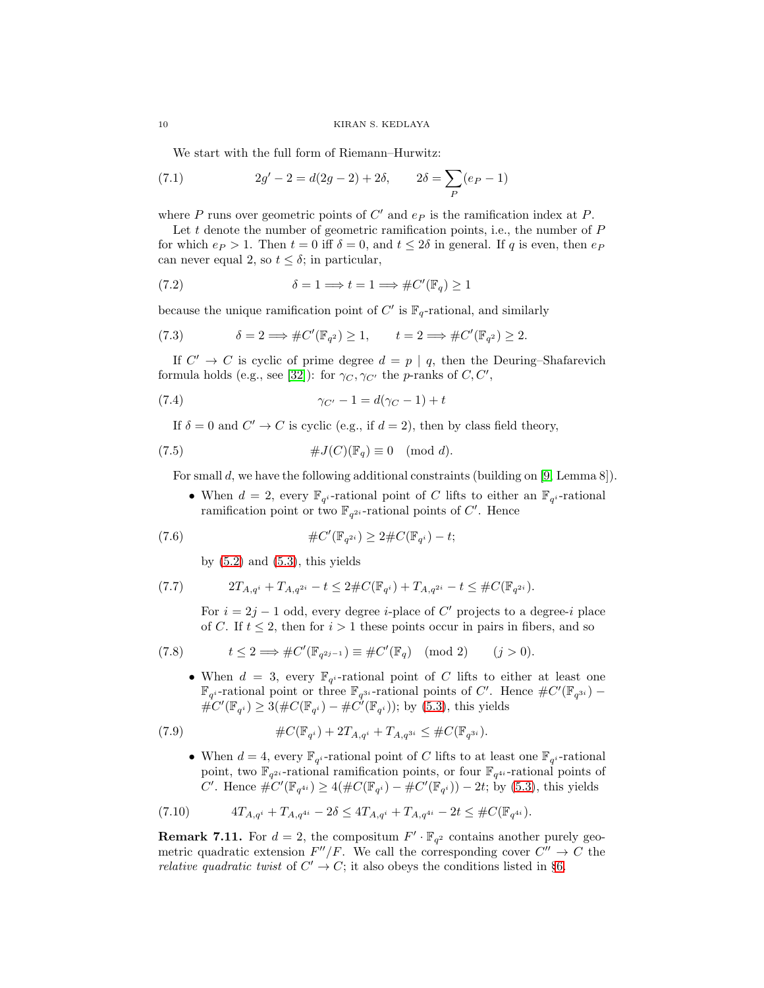We start with the full form of Riemann–Hurwitz:

(7.1) 
$$
2g' - 2 = d(2g - 2) + 2\delta, \qquad 2\delta = \sum_{P} (e_P - 1)
$$

where  $P$  runs over geometric points of  $C'$  and  $e_P$  is the ramification index at  $P$ .

Let t denote the number of geometric ramification points, i.e., the number of  $P$ for which  $e_P > 1$ . Then  $t = 0$  iff  $\delta = 0$ , and  $t \leq 2\delta$  in general. If q is even, then  $e_P$ can never equal 2, so  $t \leq \delta$ ; in particular,

<span id="page-9-4"></span>(7.2) 
$$
\delta = 1 \Longrightarrow t = 1 \Longrightarrow \#C'(\mathbb{F}_q) \ge 1
$$

because the unique ramification point of  $C'$  is  $\mathbb{F}_q$ -rational, and similarly

<span id="page-9-5"></span>(7.3) 
$$
\delta = 2 \Longrightarrow \#C'(\mathbb{F}_{q^2}) \ge 1, \qquad t = 2 \Longrightarrow \#C'(\mathbb{F}_{q^2}) \ge 2.
$$

If  $C' \rightarrow C$  is cyclic of prime degree  $d = p \mid q$ , then the Deuring–Shafarevich formula holds (e.g., see [\[32\]](#page-13-27)): for  $\gamma_C, \gamma_{C'}$  the *p*-ranks of  $C, C',$ 

$$
\gamma_{C'} - 1 = d(\gamma_C - 1) + t
$$

<span id="page-9-1"></span>If  $\delta = 0$  and  $C' \to C$  is cyclic (e.g., if  $d = 2$ ), then by class field theory,

(7.5) 
$$
\#J(C)(\mathbb{F}_q) \equiv 0 \pmod{d}.
$$

For small d, we have the following additional constraints (building on [\[9,](#page-13-28) Lemma 8]).

<span id="page-9-2"></span>• When  $d = 2$ , every  $\mathbb{F}_{q^i}$ -rational point of C lifts to either an  $\mathbb{F}_{q^i}$ -rational ramification point or two  $\mathbb{F}_{q^{2i}}$ -rational points of C'. Hence

(7.6) 
$$
\#C'(\mathbb{F}_{q^{2i}}) \geq 2 \#C(\mathbb{F}_{q^{i}}) - t;
$$

<span id="page-9-6"></span><span id="page-9-0"></span>by  $(5.2)$  and  $(5.3)$ , this yields

(7.7) 
$$
2T_{A,q^i} + T_{A,q^{2i}} - t \leq 2\#C(\mathbb{F}_{q^i}) + T_{A,q^{2i}} - t \leq \#C(\mathbb{F}_{q^{2i}}).
$$

For  $i = 2j - 1$  odd, every degree *i*-place of C' projects to a degree-i place of C. If  $t \leq 2$ , then for  $i > 1$  these points occur in pairs in fibers, and so

(7.8) 
$$
t \leq 2 \Longrightarrow \#C'(\mathbb{F}_{q^{2j-1}}) \equiv \#C'(\mathbb{F}_q) \pmod{2} \qquad (j > 0).
$$

<span id="page-9-8"></span>• When  $d = 3$ , every  $\mathbb{F}_{q^i}$ -rational point of C lifts to either at least one  $\mathbb{F}_{q^i}$ -rational points of C'. Hence  $\#C'(\mathbb{F}_{q^{3i}})$  –  $\hat{\#C}'(\mathbb{F}_{q^i}) \geq 3(\#C(\mathbb{F}_{q^i}) - \#C(\mathbb{F}_{q^i}))$ ; by [\(5.3\)](#page-6-2), this yields

(7.9) 
$$
\#C(\mathbb{F}_{q^i}) + 2T_{A,q^i} + T_{A,q^{3i}} \leq \#C(\mathbb{F}_{q^{3i}}).
$$

<span id="page-9-7"></span><span id="page-9-3"></span>• When  $d = 4$ , every  $\mathbb{F}_{q^i}$ -rational point of C lifts to at least one  $\mathbb{F}_{q^i}$ -rational point, two  $\mathbb{F}_{q^{2i}}$ -rational ramification points, or four  $\mathbb{F}_{q^{4i}}$ -rational points of C'. Hence  $\#C'(\mathbb{F}_{q^{4i}}) \ge 4(\#C(\mathbb{F}_{q^{i}}) - \#C'(\mathbb{F}_{q^{i}})) - 2t$ ; by [\(5.3\)](#page-6-2), this yields

$$
(7.10) \t\t 4T_{A,q^i} + T_{A,q^{4i}} - 2\delta \le 4T_{A,q^i} + T_{A,q^{4i}} - 2t \le #C(\mathbb{F}_{q^{4i}}).
$$

<span id="page-9-9"></span>**Remark 7.11.** For  $d = 2$ , the compositum  $F' \cdot \mathbb{F}_{q^2}$  contains another purely geometric quadratic extension  $F''/F$ . We call the corresponding cover  $C'' \to C$  the *relative quadratic twist* of  $C' \rightarrow C$ ; it also obeys the conditions listed in §[6.](#page-7-0)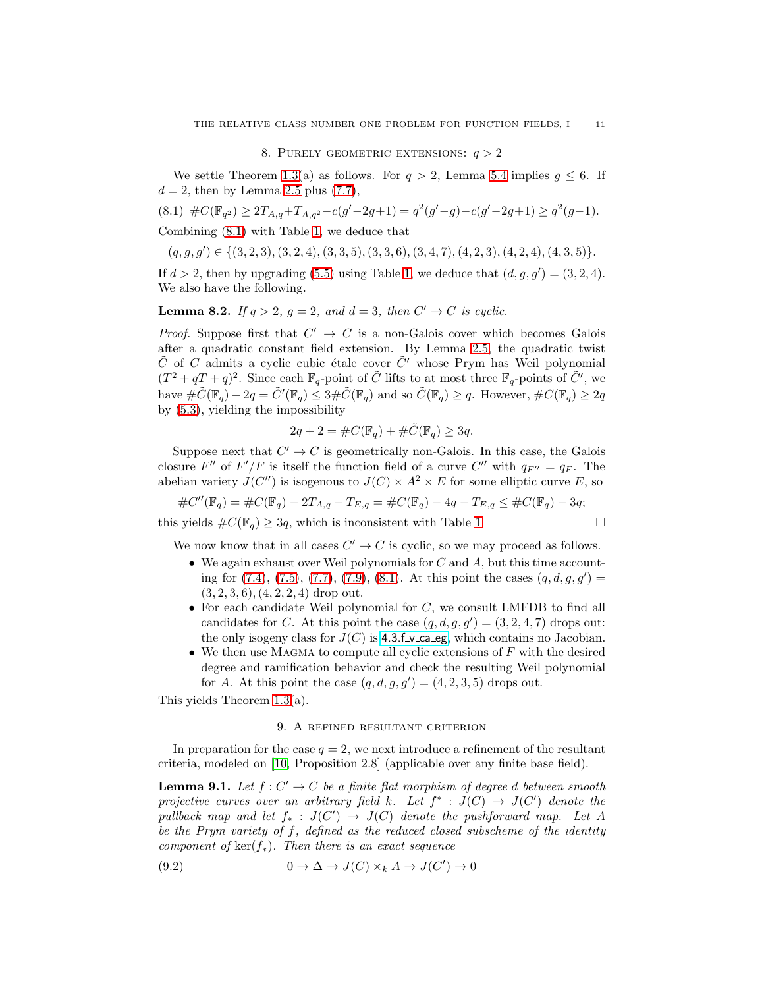#### 8. PURELY GEOMETRIC EXTENSIONS:  $q > 2$

<span id="page-10-0"></span>We settle Theorem [1.3\(](#page-1-1)a) as follows. For  $q > 2$ , Lemma [5.4](#page-6-6) implies  $q \leq 6$ . If  $d = 2$ , then by Lemma [2.5](#page-3-5) plus [\(7.7\)](#page-9-0),

<span id="page-10-2"></span>
$$
(8.1) \#C(\mathbb{F}_{q^2}) \ge 2T_{A,q} + T_{A,q^2} - c(g'-2g+1) = q^2(g'-g) - c(g'-2g+1) \ge q^2(g-1).
$$

Combining [\(8.1\)](#page-10-2) with Table [1,](#page-5-0) we deduce that

$$
(q, g, g') \in \{(3, 2, 3), (3, 2, 4), (3, 3, 5), (3, 3, 6), (3, 4, 7), (4, 2, 3), (4, 2, 4), (4, 3, 5)\}.
$$

If  $d > 2$ , then by upgrading [\(5.5\)](#page-6-3) using Table [1,](#page-5-0) we deduce that  $(d, g, g') = (3, 2, 4)$ . We also have the following.

<span id="page-10-1"></span>**Lemma 8.2.** If  $q > 2$ ,  $q = 2$ , and  $d = 3$ , then  $C' \rightarrow C$  is cyclic.

*Proof.* Suppose first that  $C' \rightarrow C$  is a non-Galois cover which becomes Galois after a quadratic constant field extension. By Lemma [2.5,](#page-3-5) the quadratic twist  $\tilde{C}$  of C admits a cyclic cubic étale cover  $\tilde{C}'$  whose Prym has Weil polynomial  $(T^2 + qT + q)^2$ . Since each  $\mathbb{F}_q$ -point of  $\tilde{C}$  lifts to at most three  $\mathbb{F}_q$ -points of  $\tilde{C}'$ , we have  $\#\tilde{C}(\mathbb{F}_q) + 2q = \tilde{C}'(\mathbb{F}_q) \leq 3\#\tilde{C}(\mathbb{F}_q)$  and so  $\tilde{C}(\mathbb{F}_q) \geq q$ . However,  $\#C(\mathbb{F}_q) \geq 2q$ by [\(5.3\)](#page-6-2), yielding the impossibility

$$
2q + 2 = \#C(\mathbb{F}_q) + \# \tilde{C}(\mathbb{F}_q) \ge 3q.
$$

Suppose next that  $C' \to C$  is geometrically non-Galois. In this case, the Galois closure F'' of  $F'/F$  is itself the function field of a curve C'' with  $q_{F''}=q_F$ . The abelian variety  $J(C'')$  is isogenous to  $J(C) \times A^2 \times E$  for some elliptic curve E, so

$$
\#C''(\mathbb{F}_q) = \#C(\mathbb{F}_q) - 2T_{A,q} - T_{E,q} = \#C(\mathbb{F}_q) - 4q - T_{E,q} \le \#C(\mathbb{F}_q) - 3q;
$$

this yields  $\#C(\mathbb{F}_q) \geq 3q$ , which is inconsistent with Table [1.](#page-5-0)

We now know that in all cases  $C' \to C$  is cyclic, so we may proceed as follows.

- We again exhaust over Weil polynomials for  $C$  and  $A$ , but this time accounting for  $(7.4)$ ,  $(7.5)$ ,  $(7.7)$ ,  $(7.9)$ ,  $(8.1)$ . At this point the cases  $(q, d, g, g') =$  $(3, 2, 3, 6), (4, 2, 2, 4)$  drop out.
- For each candidate Weil polynomial for  $C$ , we consult LMFDB to find all candidates for C. At this point the case  $(q, d, g, g') = (3, 2, 4, 7)$  drops out: the only isogeny class for  $J(C)$  is [4.3.f](http://www.lmfdb.org/Variety/Abelian/Fq/4.3.f_v_ca_eg) v ca eg, which contains no Jacobian.
- We then use MAGMA to compute all cyclic extensions of  $F$  with the desired degree and ramification behavior and check the resulting Weil polynomial for A. At this point the case  $(q, d, g, g') = (4, 2, 3, 5)$  drops out.

This yields Theorem [1.3\(](#page-1-1)a).

### 9. A refined resultant criterion

In preparation for the case  $q = 2$ , we next introduce a refinement of the resultant criteria, modeled on [\[10,](#page-13-26) Proposition 2.8] (applicable over any finite base field).

<span id="page-10-3"></span>**Lemma 9.1.** Let  $f: C' \to C$  be a finite flat morphism of degree d between smooth projective curves over an arbitrary field k. Let  $f^* : J(C) \to J(C')$  denote the pullback map and let  $f_* : J(C') \to J(C)$  denote the pushforward map. Let A be the Prym variety of  $f$ , defined as the reduced closed subscheme of the identity component of  $\ker(f_*)$ . Then there is an exact sequence

<span id="page-10-4"></span>(9.2) 
$$
0 \to \Delta \to J(C) \times_k A \to J(C') \to 0
$$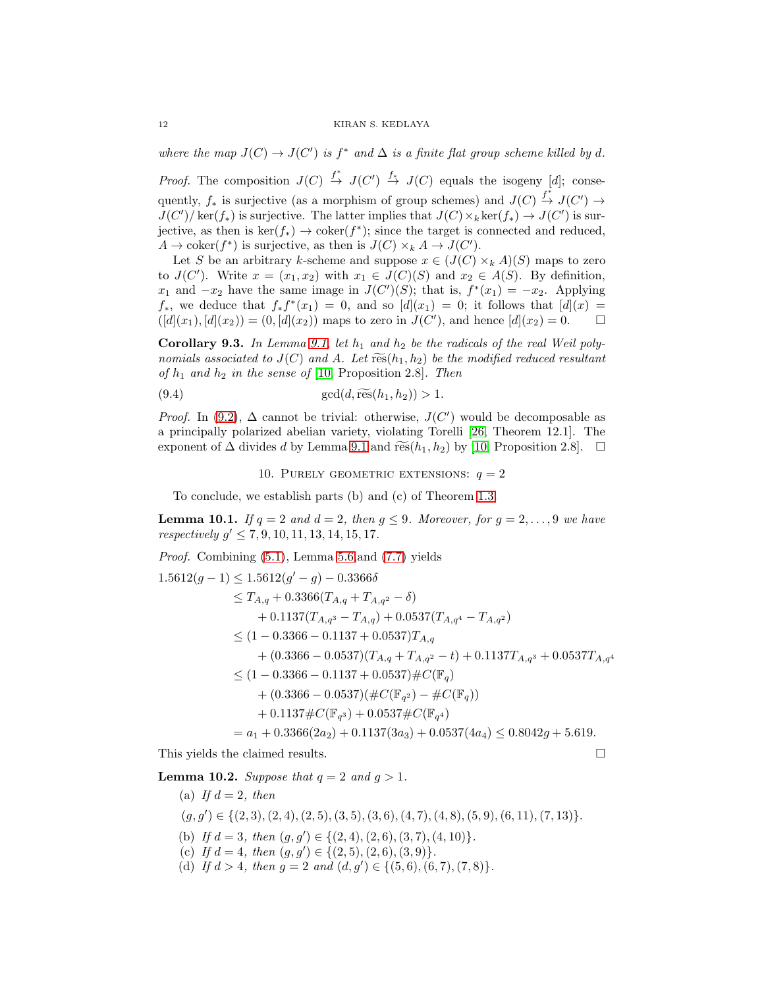where the map  $J(C) \to J(C')$  is  $f^*$  and  $\Delta$  is a finite flat group scheme killed by d.

*Proof.* The composition  $J(C) \stackrel{f^*}{\to} J(C') \stackrel{f^*}{\to} J(C)$  equals the isogeny [d]; consequently,  $f_*$  is surjective (as a morphism of group schemes) and  $J(C) \stackrel{f^*}{\to} J(C') \to$  $J(C')/\ker(f_*)$  is surjective. The latter implies that  $J(C) \times_k \ker(f_*) \to J(C')$  is surjective, as then is  $\ker(f_*) \to \operatorname{coker}(f^*)$ ; since the target is connected and reduced,  $A \to \mathrm{coker}(f^*)$  is surjective, as then is  $J(C) \times_k A \to J(C')$ .

Let S be an arbitrary k-scheme and suppose  $x \in (J(C) \times_k A)(S)$  maps to zero to  $J(C')$ . Write  $x = (x_1, x_2)$  with  $x_1 \in J(C)(S)$  and  $x_2 \in A(S)$ . By definition,  $x_1$  and  $-x_2$  have the same image in  $J(C')(S)$ ; that is,  $f^*(x_1) = -x_2$ . Applying  $f_*$ , we deduce that  $f_* f^*(x_1) = 0$ , and so  $[d](x_1) = 0$ ; it follows that  $[d](x) =$  $([d](x_1), [d](x_2)) = (0, [d](x_2))$  maps to zero in  $J(C')$ , and hence  $[d](x_2) = 0$ .

<span id="page-11-0"></span>Corollary 9.3. In Lemma [9.1,](#page-10-3) let  $h_1$  and  $h_2$  be the radicals of the real Weil polynomials associated to  $J(C)$  and A. Let  $\widetilde{\operatorname{res}}(h_1, h_2)$  be the modified reduced resultant of  $h_1$  and  $h_2$  in the sense of [\[10,](#page-13-26) Proposition 2.8]. Then

(9.4) 
$$
\gcd(d, \widetilde{\text{res}}(h_1, h_2)) > 1.
$$

*Proof.* In [\(9.2\)](#page-10-4),  $\Delta$  cannot be trivial: otherwise,  $J(C')$  would be decomposable as a principally polarized abelian variety, violating Torelli [\[26,](#page-13-29) Theorem 12.1]. The exponent of  $\Delta$  divides d by Lemma [9.1](#page-10-3) and res $(h_1, h_2)$  by [\[10,](#page-13-26) Proposition 2.8].  $\Box$ 

<span id="page-11-1"></span>10. PURELY GEOMETRIC EXTENSIONS:  $q = 2$ 

To conclude, we establish parts (b) and (c) of Theorem [1.3.](#page-1-1)

 $\sim$   $\sim$  0.3366

<span id="page-11-2"></span>**Lemma 10.1.** If  $q = 2$  and  $d = 2$ , then  $q \leq 9$ . Moreover, for  $q = 2, \ldots, 9$  we have respectively  $g' \leq 7, 9, 10, 11, 13, 14, 15, 17$ .

Proof. Combining [\(5.1\)](#page-6-1), Lemma [5.6,](#page-6-0)and [\(7.7\)](#page-9-0) yields

$$
1.5612(g-1) \leq 1.5612(g'-g) - 0.3366\delta
$$
  
\n
$$
\leq T_{A,q} + 0.3366(T_{A,q} + T_{A,q^2} - \delta)
$$
  
\n
$$
+ 0.1137(T_{A,q^3} - T_{A,q}) + 0.0537(T_{A,q^4} - T_{A,q^2})
$$
  
\n
$$
\leq (1 - 0.3366 - 0.1137 + 0.0537)T_{A,q}
$$
  
\n
$$
+ (0.3366 - 0.0537)(T_{A,q} + T_{A,q^2} - t) + 0.1137T_{A,q^3} + 0.0537T_{A,q^4}
$$
  
\n
$$
\leq (1 - 0.3366 - 0.1137 + 0.0537) \#C(\mathbb{F}_q)
$$
  
\n
$$
+ (0.3366 - 0.0537)(\#C(\mathbb{F}_{q^2}) - \#C(\mathbb{F}_q))
$$
  
\n
$$
+ 0.1137 \# C(\mathbb{F}_{q^3}) + 0.0537 \# C(\mathbb{F}_{q^4})
$$
  
\n
$$
= a_1 + 0.3366(2a_2) + 0.1137(3a_3) + 0.0537(4a_4) \leq 0.8042g + 5.619.
$$

This yields the claimed results.

<span id="page-11-3"></span>**Lemma 10.2.** Suppose that  $q = 2$  and  $q > 1$ .

(a) If  $d = 2$ , then  $(g, g') \in \{(2, 3), (2, 4), (2, 5), (3, 5), (3, 6), (4, 7), (4, 8), (5, 9), (6, 11), (7, 13)\}.$ (b) If  $d = 3$ , then  $(g, g') \in \{(2, 4), (2, 6), (3, 7), (4, 10)\}.$ (c) If  $d = 4$ , then  $(g, g') \in \{(2, 5), (2, 6), (3, 9)\}.$ (d) If  $d > 4$ , then  $g = 2$  and  $(d, g') \in \{(5, 6), (6, 7), (7, 8)\}.$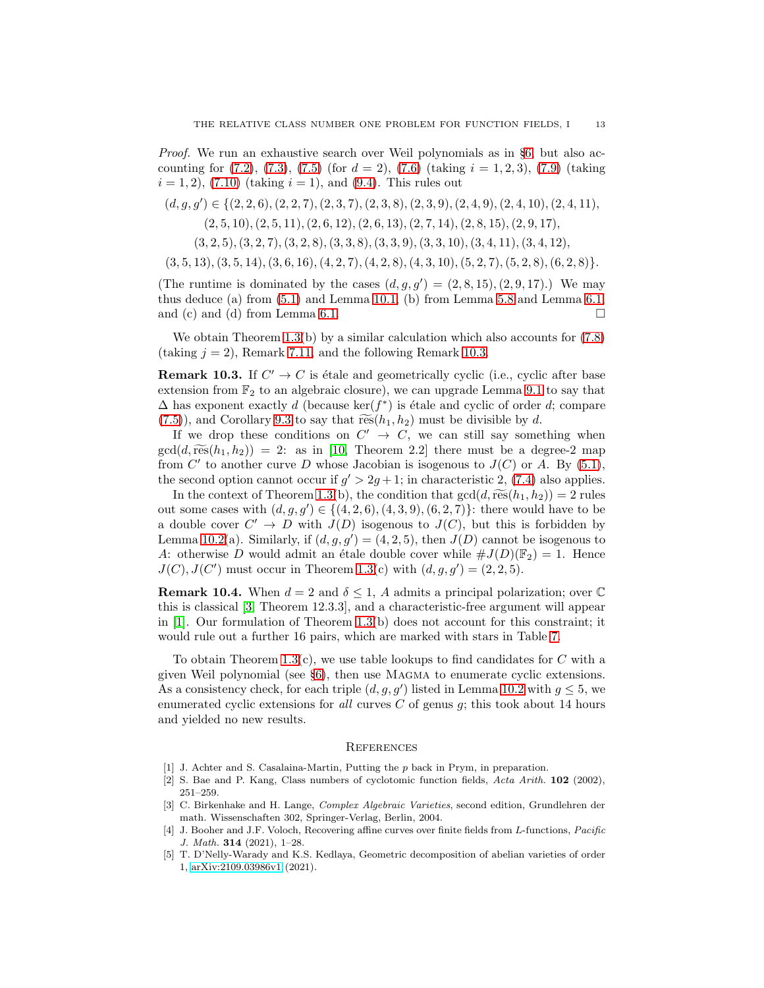Proof. We run an exhaustive search over Weil polynomials as in §[6,](#page-7-0) but also accounting for  $(7.2)$ ,  $(7.3)$ ,  $(7.5)$  (for  $d = 2$ ),  $(7.6)$  (taking  $i = 1, 2, 3$ ),  $(7.9)$  (taking  $i = 1, 2$ , [\(7.10\)](#page-9-7) (taking  $i = 1$ ), and [\(9.4\)](#page-11-1). This rules out

 $(d, g, g') \in \{(2, 2, 6), (2, 2, 7), (2, 3, 7), (2, 3, 8), (2, 3, 9), (2, 4, 9), (2, 4, 10), (2, 4, 11),$  $(2, 5, 10), (2, 5, 11), (2, 6, 12), (2, 6, 13), (2, 7, 14), (2, 8, 15), (2, 9, 17),$ 

 $(3, 2, 5), (3, 2, 7), (3, 2, 8), (3, 3, 8), (3, 3, 9), (3, 3, 10), (3, 4, 11), (3, 4, 12),$ 

 $(3, 5, 13), (3, 5, 14), (3, 6, 16), (4, 2, 7), (4, 2, 8), (4, 3, 10), (5, 2, 7), (5, 2, 8), (6, 2, 8)\}.$ 

(The runtime is dominated by the cases  $(d, g, g') = (2, 8, 15), (2, 9, 17)$ .) We may thus deduce (a) from [\(5.1\)](#page-6-1) and Lemma [10.1,](#page-11-2) (b) from Lemma [5.8](#page-7-2) and Lemma [6.1,](#page-8-1) and (c) and (d) from Lemma [6.1.](#page-8-1)  $\Box$ 

We obtain Theorem  $1.3(b)$  by a similar calculation which also accounts for  $(7.8)$ (taking  $j = 2$ ), Remark [7.11,](#page-9-9) and the following Remark [10.3.](#page-12-3)

<span id="page-12-3"></span>**Remark 10.3.** If  $C' \to C$  is étale and geometrically cyclic (i.e., cyclic after base extension from  $\mathbb{F}_2$  to an algebraic closure), we can upgrade Lemma [9.1](#page-10-3) to say that  $\Delta$  has exponent exactly d (because ker( $f^*$ ) is étale and cyclic of order d; compare  $(7.5)$ , and Corollary [9.3](#page-11-0) to say that  $\widetilde{\operatorname{res}}(h_1, h_2)$  must be divisible by d.

If we drop these conditions on  $C' \rightarrow C$ , we can still say something when  $gcd(d, \widetilde{\operatorname{res}}(h_1, h_2)) = 2$ : as in [\[10,](#page-13-26) Theorem 2.2] there must be a degree-2 map from C' to another curve D whose Jacobian is isogenous to  $J(C)$  or A. By  $(5.1)$ , the second option cannot occur if  $g' > 2g + 1$ ; in characteristic 2, [\(7.4\)](#page-9-1) also applies.

In the context of Theorem [1.3\(](#page-1-1)b), the condition that  $gcd(d, \widetilde{\operatorname{res}}(h_1, h_2)) = 2$  rules out some cases with  $(d, g, g') \in \{(4, 2, 6), (4, 3, 9), (6, 2, 7)\}$ : there would have to be a double cover  $C' \to D$  with  $J(D)$  isogenous to  $J(C)$ , but this is forbidden by Lemma [10.2\(](#page-11-3)a). Similarly, if  $(d, g, g') = (4, 2, 5)$ , then  $J(D)$  cannot be isogenous to A: otherwise D would admit an étale double cover while  $\#J(D)(\mathbb{F}_2) = 1$ . Hence  $J(C)$ ,  $J(C')$  must occur in Theorem [1.3\(](#page-1-1)c) with  $(d, g, g') = (2, 2, 5)$ .

<span id="page-12-6"></span>**Remark 10.4.** When  $d = 2$  and  $\delta \leq 1$ , A admits a principal polarization; over  $\mathbb{C}$ this is classical [\[3,](#page-12-4) Theorem 12.3.3], and a characteristic-free argument will appear in  $[1]$ . Our formulation of Theorem [1.3\(](#page-1-1)b) does not account for this constraint; it would rule out a further 16 pairs, which are marked with stars in Table [7.](#page-16-0)

To obtain Theorem [1.3\(](#page-1-1)c), we use table lookups to find candidates for  $C$  with a given Weil polynomial (see §[6\)](#page-7-0), then use Magma to enumerate cyclic extensions. As a consistency check, for each triple  $(d, g, g')$  listed in Lemma [10.2](#page-11-3) with  $g \leq 5$ , we enumerated cyclic extensions for all curves  $C$  of genus  $q$ ; this took about 14 hours and yielded no new results.

# **REFERENCES**

- <span id="page-12-5"></span><span id="page-12-0"></span>[1] J. Achter and S. Casalaina-Martin, Putting the p back in Prym, in preparation.
- [2] S. Bae and P. Kang, Class numbers of cyclotomic function fields, *Acta Arith.* 102 (2002), 251–259.
- <span id="page-12-4"></span>[3] C. Birkenhake and H. Lange, *Complex Algebraic Varieties*, second edition, Grundlehren der math. Wissenschaften 302, Springer-Verlag, Berlin, 2004.
- <span id="page-12-1"></span>[4] J. Booher and J.F. Voloch, Recovering affine curves over finite fields from L-functions, *Pacific J. Math.* 314 (2021), 1–28.
- <span id="page-12-2"></span>[5] T. D'Nelly-Warady and K.S. Kedlaya, Geometric decomposition of abelian varieties of order 1, [arXiv:2109.03986v1](https://arxiv.org/abs/2109.03986) (2021).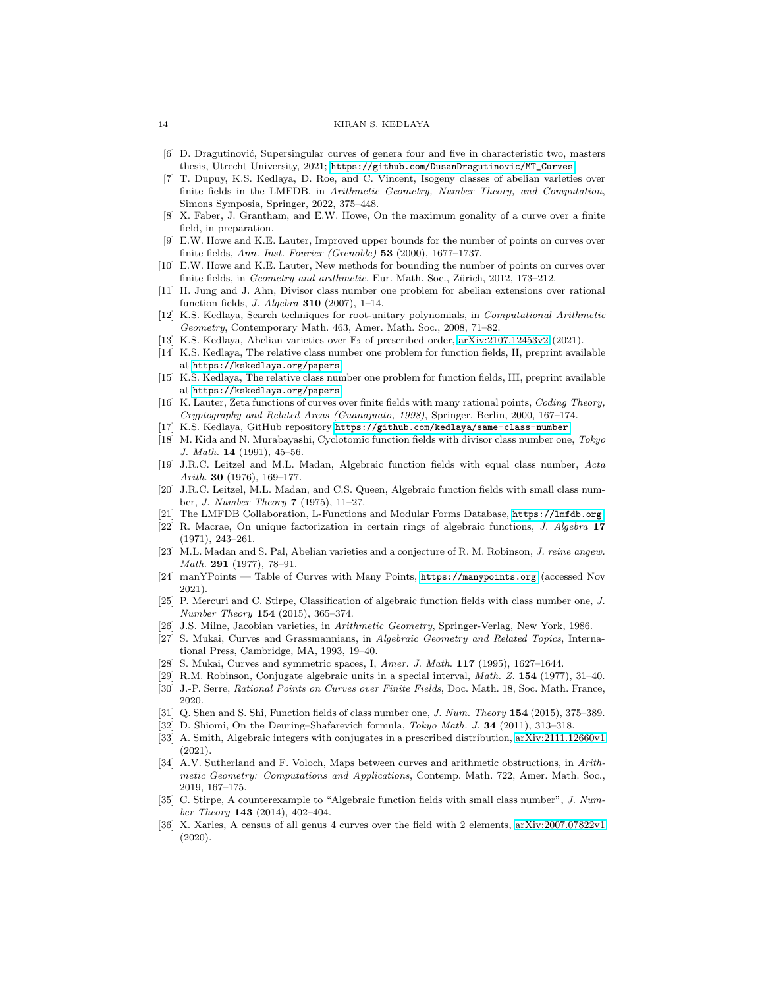#### <span id="page-13-5"></span>14 KIRAN S. KEDLAYA

- <span id="page-13-14"></span>[6] D. Dragutinović, Supersingular curves of genera four and five in characteristic two, masters thesis, Utrecht University, 2021; [https://github.com/DusanDragutinovic/MT\\_Curves](https://github.com/DusanDragutinovic/MT_Curves).
- [7] T. Dupuy, K.S. Kedlaya, D. Roe, and C. Vincent, Isogeny classes of abelian varieties over finite fields in the LMFDB, in *Arithmetic Geometry, Number Theory, and Computation*, Simons Symposia, Springer, 2022, 375–448.
- <span id="page-13-4"></span>[8] X. Faber, J. Grantham, and E.W. Howe, On the maximum gonality of a curve over a finite field, in preparation.
- <span id="page-13-28"></span>[9] E.W. Howe and K.E. Lauter, Improved upper bounds for the number of points on curves over finite fields, *Ann. Inst. Fourier (Grenoble)* 53 (2000), 1677–1737.
- <span id="page-13-26"></span>[10] E.W. Howe and K.E. Lauter, New methods for bounding the number of points on curves over finite fields, in *Geometry and arithmetic*, Eur. Math. Soc., Zürich, 2012, 173–212.
- <span id="page-13-0"></span>[11] H. Jung and J. Ahn, Divisor class number one problem for abelian extensions over rational function fields, *J. Algebra* 310 (2007), 1–14.
- <span id="page-13-13"></span>[12] K.S. Kedlaya, Search techniques for root-unitary polynomials, in *Computational Arithmetic Geometry*, Contemporary Math. 463, Amer. Math. Soc., 2008, 71–82.
- <span id="page-13-22"></span><span id="page-13-18"></span>[13] K.S. Kedlaya, Abelian varieties over F<sup>2</sup> of prescribed order, [arXiv:2107.12453v2](https://arxiv.org/abs/2107.12453) (2021).
- [14] K.S. Kedlaya, The relative class number one problem for function fields, II, preprint available at <https://kskedlaya.org/papers>.
- <span id="page-13-19"></span>[15] K.S. Kedlaya, The relative class number one problem for function fields, III, preprint available at <https://kskedlaya.org/papers>.
- <span id="page-13-15"></span>[16] K. Lauter, Zeta functions of curves over finite fields with many rational points, *Coding Theory, Cryptography and Related Areas (Guanajuato, 1998)*, Springer, Berlin, 2000, 167–174.
- <span id="page-13-24"></span><span id="page-13-1"></span>[17] K.S. Kedlaya, GitHub repository <https://github.com/kedlaya/same-class-number>.
- [18] M. Kida and N. Murabayashi, Cyclotomic function fields with divisor class number one, *Tokyo J. Math.* 14 (1991), 45–56.
- <span id="page-13-2"></span>[19] J.R.C. Leitzel and M.L. Madan, Algebraic function fields with equal class number, *Acta Arith.* 30 (1976), 169–177.
- <span id="page-13-6"></span>[20] J.R.C. Leitzel, M.L. Madan, and C.S. Queen, Algebraic function fields with small class number, *J. Number Theory* 7 (1975), 11–27.
- <span id="page-13-16"></span><span id="page-13-3"></span>[21] The LMFDB Collaboration, L-Functions and Modular Forms Database, <https://lmfdb.org>.
- [22] R. Macrae, On unique factorization in certain rings of algebraic functions, *J. Algebra* 17 (1971), 243–261.
- <span id="page-13-10"></span>[23] M.L. Madan and S. Pal, Abelian varieties and a conjecture of R. M. Robinson, *J. reine angew. Math.* 291 (1977), 78–91.
- <span id="page-13-25"></span>[24] manYPoints — Table of Curves with Many Points, <https://manypoints.org> (accessed Nov 2021).
- <span id="page-13-8"></span>[25] P. Mercuri and C. Stirpe, Classification of algebraic function fields with class number one, *J. Number Theory* 154 (2015), 365–374.
- <span id="page-13-29"></span><span id="page-13-20"></span>[26] J.S. Milne, Jacobian varieties, in *Arithmetic Geometry*, Springer-Verlag, New York, 1986.
- [27] S. Mukai, Curves and Grassmannians, in *Algebraic Geometry and Related Topics*, International Press, Cambridge, MA, 1993, 19–40.
- <span id="page-13-21"></span><span id="page-13-11"></span>[28] S. Mukai, Curves and symmetric spaces, I, *Amer. J. Math.* 117 (1995), 1627–1644.
- <span id="page-13-12"></span>[29] R.M. Robinson, Conjugate algebraic units in a special interval, *Math. Z.* 154 (1977), 31–40. [30] J.-P. Serre, *Rational Points on Curves over Finite Fields*, Doc. Math. 18, Soc. Math. France,
- <span id="page-13-9"></span>2020.
- <span id="page-13-27"></span>[31] Q. Shen and S. Shi, Function fields of class number one, *J. Num. Theory* 154 (2015), 375–389. [32] D. Shiomi, On the Deuring–Shafarevich formula, *Tokyo Math. J.* 34 (2011), 313–318.
- <span id="page-13-23"></span>[33] A. Smith, Algebraic integers with conjugates in a prescribed distribution, [arXiv:2111.12660v1](https://arxiv.org/abs/2111.12660) (2021).
- [34] A.V. Sutherland and F. Voloch, Maps between curves and arithmetic obstructions, in *Arithmetic Geometry: Computations and Applications*, Contemp. Math. 722, Amer. Math. Soc., 2019, 167–175.
- <span id="page-13-7"></span>[35] C. Stirpe, A counterexample to "Algebraic function fields with small class number", *J. Number Theory* 143 (2014), 402–404.
- <span id="page-13-17"></span>[36] X. Xarles, A census of all genus 4 curves over the field with 2 elements, [arXiv:2007.07822v1](https://arxiv.org/abs/2007.07822) (2020).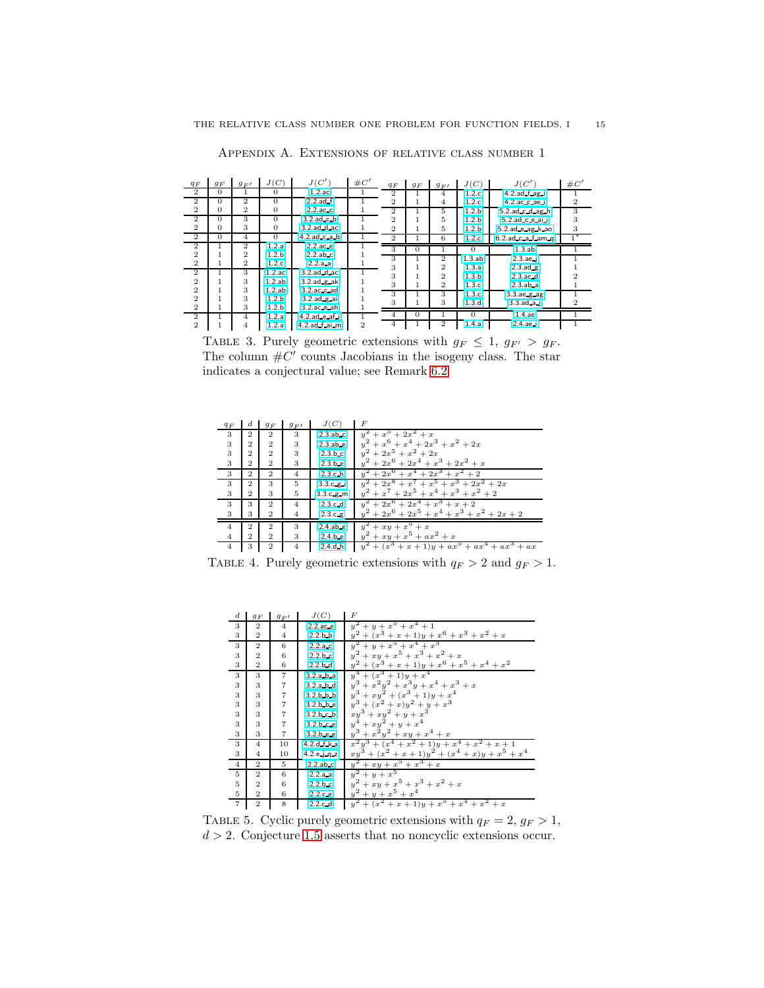| $q_F$          | $g_F$        | $g_{F}$        | J(C)             | J(C')               | $\#C'$         | $q_F$          | $g_F$    | $g_{F}$        | J(C)             | J(C')                     | $\#C'$ |
|----------------|--------------|----------------|------------------|---------------------|----------------|----------------|----------|----------------|------------------|---------------------------|--------|
| $\mathbf{2}$   | $\Omega$     |                | 0                | $1.2$ .ac           |                | $\overline{2}$ |          | 4              | 1.2 <sub>c</sub> | $4.2$ ad $f$ ag i         |        |
| $\overline{2}$ | $\Omega$     | $\overline{2}$ | $\Omega$         | $2.2$ .ad.f         |                | $\overline{2}$ | 1        | 4              | 1.2.c            | 4.2.ac.c.ae.i             | 2      |
| $\mathbf{2}$   | $\Omega$     | $\overline{2}$ | 0                | $2.2$ .ac.c         |                | $\Omega$       |          | 5              | 1.2 <sub>b</sub> | $5.2$ ad $c$ d ag h       | 3      |
| $\mathbf{2}$   | $\Omega$     | 3              | $\mathbf{0}$     | $3.2$ .ad.c.b       |                | $\overline{2}$ |          | 5              | 1.2.b            | $5.2$ .ad.c.e.ai.i        | 3      |
| $\overline{2}$ | $\Omega$     | 3              | $\Omega$         | 3.2.ad d ac         |                | $\overline{2}$ |          | 5              | 1.2.b            | 5.2.ad e ag k ao          | 3      |
| $\overline{2}$ | $\mathbf{0}$ | $\overline{4}$ | $\overline{0}$   | $4.2$ .ad.c.a.b     |                | $\overline{2}$ |          | 6              | 1.2 <sub>c</sub> | $6.2$ ad $c$ a $f$ am $g$ | $1*$   |
| $\overline{2}$ |              | $\mathcal{D}$  | 1.2.a            | $2.2$ .ac.e         |                | 3              | 0        |                | $\Omega$         | $1.3$ .ab                 |        |
| $\mathbf{2}$   |              | $\mathbf{2}$   | 1.2 <sub>b</sub> | $2.2$ .ab.c         |                | 3              |          | $\overline{2}$ | $1.3$ .ab        | $2.3.$ ae $-i$            |        |
| $\mathbf{2}$   |              | $\overline{2}$ | 1.2.c            | 2.2.a.a.            |                | 3              |          | $\overline{2}$ | 1.3.a            | $2.3$ ad $g$              |        |
| $\overline{2}$ |              | 3              | $1.2$ .ac        | $3.2$ ad $d$ ac     |                | 3              |          | $\mathbf{2}$   | 1.3.b            | $2.3$ .ac $-d$            |        |
| $\mathbf{2}$   |              | 3              | $1.2$ .ab        | $3.2$ ad $g$ ak     |                | 3              |          | $\overline{2}$ | 1.3.c            | $2.3$ .ab.a               |        |
| $\mathbf{2}$   |              | 3              | $1.2$ .ab        | $3.2$ .ac.c.ad      |                | 3              |          | 3              | 1.3 <sub>c</sub> | $3.3$ ae $g$ ag           |        |
| $\mathbf{2}$   |              | 3              | 1.2.b            | $3.2$ ad $g$ ai     |                | 3              |          | 3              | 1.3.d            | $3.3$ .ad.a.i             | 2      |
| $\mathbf{2}$   |              | 3              | 1.2.b            | $3.2$ .ac.e.ah      |                |                |          |                |                  |                           |        |
| $\overline{2}$ |              | $\overline{4}$ | 1.2.a            | $4.2$ ad $e$ af $i$ |                | 4              | $\Omega$ |                | $\Omega$         | $1.4.$ ae                 |        |
| $\overline{2}$ |              | 4              | 1.2.a            | 4.2.ad f.ai.m       | $\overline{2}$ | $\overline{4}$ |          | $\overline{2}$ | 1.4.a            | $2.4$ .ae.i               |        |

Appendix A. Extensions of relative class number 1

<span id="page-14-0"></span>TABLE 3. Purely geometric extensions with  $g_F \leq 1$ ,  $g_{F'} > g_F$ . The column  $\#C'$  counts Jacobians in the isogeny class. The star indicates a conjectural value; see Remark [6.2.](#page-8-2)

| $q_F$          | $^{d}$         | $g_F$          | $g_{F}$        | J(C)        | F                                                          |
|----------------|----------------|----------------|----------------|-------------|------------------------------------------------------------|
| 3              | $\mathbf{2}$   | $\overline{2}$ | 3              | $2.3$ .ab.c | $y^2 + x^5 + 2x^2 + x$                                     |
| 3              | $\mathbf{2}$   | $\overline{2}$ | 3              | $2.3$ abe   | $y^2 + x^6 + x^4 + 2x^3 + x^2 + 2x$                        |
| 3              | $\mathbf{2}$   | $\mathbf{2}$   | 3              | 2.3.b.c     | $y^2 + 2x^5 + x^2 + 2x$                                    |
| 3              | $\overline{2}$ | $\overline{2}$ | 3              | 2.3.b.e     | $y^2 + 2x^6 + 2x^4 + x^3 + 2x^2 + x$                       |
| 3              | $\overline{2}$ | $\overline{2}$ | $\overline{4}$ | 2.3.c.h     | $y^2 + 2x^6 + x^4 + 2x^3 + x^2 + 2$                        |
| 3              | $\overline{2}$ | 3              | 5              | 3.3.c.g.    | $y^2 + 2x^8 + x^7 + x^5 + x^3 + 2x^2 + 2x$                 |
| 3              | $\overline{2}$ | 3              | 5              | 3.3.c.g.m   | $y^2 + x^7 + 2x^5 + x^4 + x^3 + x^2 + 2$                   |
| 3              | 3              | $\overline{2}$ | $\overline{4}$ | 2.3.c.d     | $y^2 + 2x^6 + 2x^4 + x^3 + x + 2$                          |
| 3              | 3              | $\overline{2}$ | $\overline{4}$ | 2.3.c.g.    | $y^2 + 2x^6 + 2x^5 + x^4 + x^3 + x^2 + 2x + 2$             |
| $\overline{4}$ | $\mathbf{2}$   | $\mathbf{2}$   | 3              | $2.4$ .ab.e | $y^2 + xy + x^5 + x$                                       |
| $\overline{4}$ | $\mathbf{2}$   | $\overline{2}$ | 3              | 2.4.b.e     | $y^2 + xy + x^5 + ax^2 + x$                                |
| 4              | 3              | $\mathbf{2}$   | $\overline{4}$ | $2.4$ .d.h  | $y^{2} + (x^{3} + x + 1)y + ax^{5} + ax^{4} + ax^{3} + ax$ |

TABLE 4. Purely geometric extensions with  $q_F > 2$  and  $g_F > 1$ .

<span id="page-14-1"></span>

| $_{d}$         | $g_F$          | $g_{F}$        | J(C)                | F                                                              |
|----------------|----------------|----------------|---------------------|----------------------------------------------------------------|
| 3              | $\overline{2}$ | 4              | $2.2 \text{.ac.e.}$ | $y^2 + y + x^5 + x^4 + 1$                                      |
| 3              | $\overline{2}$ | $\overline{4}$ | 2.2.b.b             | $y^{2} + (x^{3} + x + 1)y + x^{6} + x^{3} + x^{2} + x$         |
| 3              | $\overline{2}$ | 6              | 2.2.a.c             | $y^2 + y + x^5 + x^4 + x^3$                                    |
| 3              | $\overline{2}$ | 6              | 2.2.b.c             | $y^2 + xy + x^5 + x^3 + x^2 + x$                               |
| $\,3$          | $\overline{2}$ | 6              | 2.2.b.d             | $y^{2} + (x^{3} + x + 1)y + x^{6} + x^{5} + x^{4} + x^{2}$     |
| $\overline{3}$ | 3              | $\overline{7}$ | 3.2.a.b.a           | $y^4 + (x^3 + 1)y + x^4$                                       |
| 3              | 3              | $\overline{7}$ | 3.2.a.b.d           | $y^3 + x^2y^2 + x^3y + x^4 + x^3 + x$                          |
| 3              | 3              | $\overline{7}$ | 3.2.b.b.b           | $y^3 + xy^2 + (x^3 + 1)y + x^4$                                |
| 3              | 3              | $\overline{7}$ | 3.2.b.b.e           | $+(x^{2}+x)y^{2}+y+x^{3}$<br>$u^3$                             |
| 3              | 3              | $\overline{7}$ | 3.2.b.c.b           | $xy^3 + xy^2 + y + x^3$                                        |
| 3              | 3              | $\overline{7}$ | 3.2.b.c.e.          | $y^4 + xy^2 + y + x^4$                                         |
| 3              | 3              | $\overline{7}$ | 3.2.b.e.e.          | $y^3 + x^2y^2 + xy + x^4 + x$                                  |
| 3              | $\overline{4}$ | 10             | 4.2.d.f.k.s         | $x^{2}y^{3} + (x^{4} + x^{2} + 1)y + x^{4} + x^{2} + x + 1$    |
| 3              | 4              | 10             | 4.2.e.j.q.z         | $xy^{3} + (x^{2} + x + 1)y^{2} + (x^{4} + x)y + x^{5} + x^{4}$ |
| $\overline{4}$ | $\overline{2}$ | 5              | $2.2$ .ab.c         | $y^2 + xy + x^5 + x^3 + x$                                     |
| $\overline{5}$ | $\mathbf{2}$   | 6              | 2.2.a.a.            | $y^2 + y + x^5$                                                |
| $\bf 5$        | $\overline{2}$ | 6              | 2.2.b.c             | $y^2 + xy + x^5 + x^3 + x^2 + x$                               |
| $\rm 5$        | $\overline{2}$ | 6              | 2.2.c.e             | $y^2 + y + x^5 + x^4$                                          |
| $\overline{7}$ | $\overline{2}$ | 8              | 2.2.c.d             | $y^{2} + (x^{2} + x + 1)y + x^{5} + x^{4} + x^{2} + x$         |

<span id="page-14-2"></span>TABLE 5. Cyclic purely geometric extensions with  $q_F = 2, g_F > 1$ ,  $d > 2$ . Conjecture [1.5](#page-2-0) asserts that no noncyclic extensions occur.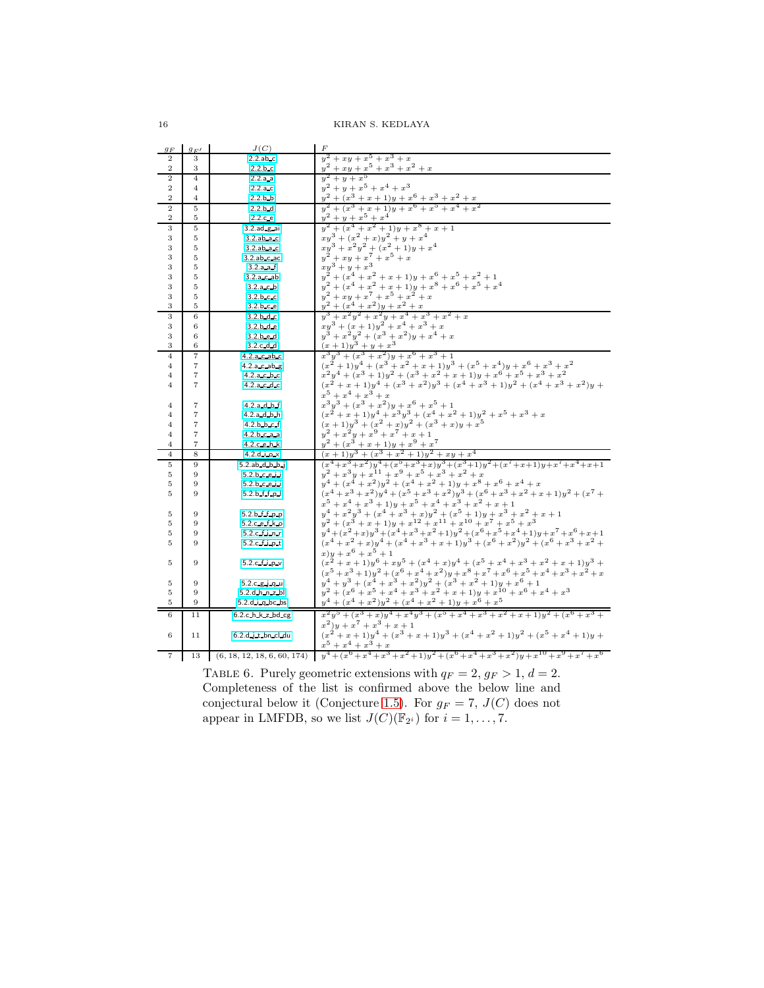KIRAN S. KEDLAYA

| $g_F$               | $g_{F}$                          | J(C)                             | F                                                                                                                                                                                                                                                                                                                                       |
|---------------------|----------------------------------|----------------------------------|-----------------------------------------------------------------------------------------------------------------------------------------------------------------------------------------------------------------------------------------------------------------------------------------------------------------------------------------|
| $\overline{2}$      | 3                                | $2.2$ .ab.c                      | $y^2 + xy + x^5 + x^3 + x$                                                                                                                                                                                                                                                                                                              |
| $\overline{2}$      | 3                                | 2.2.b.c                          | $y^2 + xy + x^5 + x^3 + x^2 + x$                                                                                                                                                                                                                                                                                                        |
| $\overline{2}$      | $\overline{4}$                   | 2.2.a.a                          | $y^2 + y + x^5$                                                                                                                                                                                                                                                                                                                         |
| $\overline{2}$      | $\overline{4}$                   | 2.2.a.c                          | $y^2 + y + x^5 + x^4 + x^3$                                                                                                                                                                                                                                                                                                             |
| $\overline{2}$      | $\overline{4}$                   | 2.2.b.b                          | $+\frac{y+x}{3}+x+1\cancel{y}+x^6+x^3+x^2+x$ $+\frac{3}{3}+\frac{1}{2}+1\cancel{x}+x^6+x^5+x^4+x^2$                                                                                                                                                                                                                                     |
| $\boldsymbol{2}$    | $\overline{5}$                   | 2.2.b.d                          | $+(x^3+x+1)y+x^6$                                                                                                                                                                                                                                                                                                                       |
| $\overline{2}$      | 5                                | 2.2.c.e                          | $y^2$<br>$+y+x^5+x^4$                                                                                                                                                                                                                                                                                                                   |
| 3                   | $\bf 5$                          | $3.2$ ad $g$ ai                  | $+(x4+x2+1)y+x8+x+1$                                                                                                                                                                                                                                                                                                                    |
| 3                   | 5                                | $3.2$ .ab.a.c                    | $\begin{array}{l} {x} \\ {xy}^3 + (x^2 + x)y^2 + y + x^4 \\ {xy}^3 + x^2y^2 + (x^2 + 1)y + x^4 \\ {y}^2 + xy + x^7 + x^5 + x \end{array}$                                                                                                                                                                                               |
| 3                   | 5                                | $3.2$ .ab.a.c                    |                                                                                                                                                                                                                                                                                                                                         |
| 3                   | 5                                | 3.2.ab.c.ac                      |                                                                                                                                                                                                                                                                                                                                         |
| 3                   | 5                                | 3.2.a.a.f                        | $xy^3 + y + x^3$                                                                                                                                                                                                                                                                                                                        |
| 3                   | 5                                | $3.2.a.c.$ ab                    | $y^2 + (x^4 + x^2 + x + 1)y + x^6 + x^5 + x^2 + 1$                                                                                                                                                                                                                                                                                      |
| 3                   | 5                                | 3.2.a.c.b                        | $y^2 + (x^4 + x^2 + x + 1)y + x^8 + x^6 + x^5 + x^4$                                                                                                                                                                                                                                                                                    |
| 3                   | 5                                | 3.2.b.c.c                        | $y^2 + xy + x^7 + x^5 + x^2 + x$                                                                                                                                                                                                                                                                                                        |
| 3                   | 5                                | 3.2.b.c.e                        | $y^2 + (x^4 + x^2)y + x^2 + x$                                                                                                                                                                                                                                                                                                          |
| 3                   | 6                                | 3.2.b.d.c                        | $+x^2y^2+x^2y+x^4+x^3+x^2+x$                                                                                                                                                                                                                                                                                                            |
| 3                   | 6                                | 3.2.b.d.e                        | $xy^{3} + (x+1)y^{2} + x^{4} + x^{3} + x$                                                                                                                                                                                                                                                                                               |
| 3                   | 6                                | 3.2.b.e.d                        | $y^3 + x^2y^2 + (x^3 + x^2)y + x^4 + x$                                                                                                                                                                                                                                                                                                 |
| 3                   | 6                                | 3.2.c d.d                        | $(x+1)y^3+y+x^3$                                                                                                                                                                                                                                                                                                                        |
| $\overline{4}$      | 7                                | 4.2.a c ab c                     | $x^3y^3 + (x^3 + x^2)y + x^6 + x^3 + 1$                                                                                                                                                                                                                                                                                                 |
| $\overline{4}$      | $\overline{7}$                   | 4.2.a.c.ab.g                     | $(x^{2}+1)y^{4} + (x^{3}+x^{2}+x+1)y^{3} + (x^{5}+x^{4})y + x^{6} + x^{3} + x^{2}$                                                                                                                                                                                                                                                      |
| $\overline{4}$      | $\scriptstyle{7}$                | 4.2.a.c.b.c                      | $x^{2}y^{4} + (x^{3} + 1)y^{2} + (x^{3} + x^{2} + x + 1)y + x^{6} + x^{5} + x^{3} + x^{2}$                                                                                                                                                                                                                                              |
| $\overline{4}$      | $\overline{7}$                   | 4.2.a.c.d.c                      | $(x^{2} + x + 1)y^{4} + (x^{3} + x^{2})y^{3} + (x^{4} + x^{3} + 1)y^{2} + (x^{4} + x^{3} + x^{2})y +$                                                                                                                                                                                                                                   |
|                     |                                  |                                  | $x^5 + x^4 + x^3 + x$                                                                                                                                                                                                                                                                                                                   |
| $\overline{4}$      | $\overline{7}$                   | 4.2.a.d.b.f                      | $x^{3}y^{3} + (x^{3} + x^{2})y + x^{6} + x^{5} + 1$                                                                                                                                                                                                                                                                                     |
| $\overline{4}$      | $\overline{7}$                   | 4.2.a.d.b.h                      | $(x^{2} + x + 1)y^{4} + x^{3}y^{3} + (x^{4} + x^{2} + 1)y^{2} + x^{5} + x^{3} + x$<br>$(x+1)y^{3} + (x^{2} + x)y^{2} + (x^{3} + x)y + x^{5}$                                                                                                                                                                                            |
| $\overline{4}$      | $\overline{7}$                   | 4.2.b.b.c.f                      | $y^2 + x^2y + x^9 + x^7 + x + 1$                                                                                                                                                                                                                                                                                                        |
| $\overline{4}$      | $\overline{7}$<br>$\overline{7}$ | 4.2.b.c.a.a                      | $+(x3 + x + 1)y + x9 + x7$                                                                                                                                                                                                                                                                                                              |
| 4<br>$\overline{4}$ | 8                                | 4.2.c.e.h.k<br>4.2. $d$ i.o. $x$ | $(x+1)y^{3} + (x^{3} + x^{2} + 1)y^{2} + xy + x^{4}$                                                                                                                                                                                                                                                                                    |
| 5                   | 9                                | $5.2$ .ab.d.b.b.i                | $(x^4+x^3+x^2)y^4+(x^5+x^3+x)y^3+(x^3+1)y^2+(x^7+x+1)y+x^7+x^4+x+1$                                                                                                                                                                                                                                                                     |
| 5                   | 9                                | 5.2.b.c.e.i                      | $y^2 + x^3y + x^{11} + x^9 + x^5 + x^3 + x^2 + x$                                                                                                                                                                                                                                                                                       |
| 5                   | 9                                | 5.2.b.c.e.i                      | $y^4 + (x^4 + x^2)y^2 + (x^4 + x^2 + 1)y + x^8 + x^6 + x^4 + x$                                                                                                                                                                                                                                                                         |
| 5                   | 9                                | 5.2.b.f.f.p.                     | $(x^{4} + x^{3} + x^{2})y^{4} + (x^{5} + x^{3} + x^{2})y^{3} + (x^{6} + x^{3} + x^{2} + x + 1)y^{2} + (x^{7} +$                                                                                                                                                                                                                         |
|                     |                                  |                                  | $x^5 + x^4 + x^3 + 1$<br>y + $x^5 + x^4 + x^3 + x^2 + x + 1$                                                                                                                                                                                                                                                                            |
| 5                   | 9                                | 5.2.b f f p p                    | $y^4 + x^2y^3 + (x^4 + x^3 + x)y^2 + (x^5 + 1)y + x^3 + x^2 + x + 1$                                                                                                                                                                                                                                                                    |
| 5                   | 9                                | 5.2.c e f k o                    | $y^2 + (x^3 + x + 1)y + x^{12} + x^{11} + x^{10} + x^7 + x^5 + x^3$                                                                                                                                                                                                                                                                     |
| 5                   | 9                                | 5.2.c.f.in.r                     | $y^4 + (x^2 + x)y^3 + (x^4 + x^3 + x^2 + 1)y^2 + (x^6 + x^5 + x^4 + 1)y + x^7 + x^6 + x + 1$                                                                                                                                                                                                                                            |
| 5                   | 9                                | $5.2.c.f.$ ipt                   | $(x^{4}+x^{2}+x)y^{4}+(x^{4}+x^{3}+x+1)y^{3}+(x^{6}+x^{2})y^{2}+(x^{6}+x^{3}+x^{2}+$                                                                                                                                                                                                                                                    |
|                     |                                  |                                  | $(x)y + x^6 + x^5 + 1$                                                                                                                                                                                                                                                                                                                  |
| 5                   | 9                                | 5.2.c.f.i.p.v                    | $(x^{2} + x + 1)y^{6} + xy^{5} + (x^{4} + x)y^{4} + (x^{5} + x^{4} + x^{3} + x^{2} + x + 1)y^{3} +$                                                                                                                                                                                                                                     |
|                     |                                  |                                  | $(x^{5}+x^{3}+1)y^{2}+(x^{6}+x^{4}+x^{2})y+x^{8}+x^{7}+x^{6}+x^{5}+x^{4}+x^{3}+x^{2}+x^{4}$                                                                                                                                                                                                                                             |
| 5                   | 9                                | 5.2.c.g.j.q.u                    | $y^4 + y^3 + (x^4 + x^3 + x^2)y^2 + (x^3 + x^2 + 1)y + x^6 + 1$                                                                                                                                                                                                                                                                         |
| 5                   | 9                                | 5.2.d.h.n.z.bl                   | $y^2 + (x^6 + x^5 + x^4 + x^3 + x^2 + x + 1)y + x^{10} + x^6 + x^4 + x^3$                                                                                                                                                                                                                                                               |
| 5                   | 9                                | $5.2.d.i.q$ bc bs                | $y^4 + (x^4 + x^2)y^2 + (x^4 + x^2 + 1)y + x^6 + x^5$                                                                                                                                                                                                                                                                                   |
| 6                   | 11                               | 6.2.c.h.k.z.bd cg                | $x^2y^5 + (x^3 + x)y^4 + x^4y^3 + (x^5 + x^4 + x^3 + x^2 + x + 1)y^2 + (x^6 + x^3 + x^2 + x^2 + x^3 + x^2 + x^2 + x^3 + x^2 + x^2 + x^3 + x^2 + x^2 + x^3 + x^2 + x^2 + x^3 + x^2 + x^2 + x^3 + x^2 + x^2 + x^3 + x^2 + x^2 + x^3 + x^2 + x^2 + x^3 + x^2 + x^2 + x^3 + x^2 + x^2 + x^3 + x^2 + x^2 + x^3 + x^2 + x^2 + x^3 + x^2 + x^$ |
|                     |                                  |                                  | $(x^2)y + x^7 + x^3 + x + 1$                                                                                                                                                                                                                                                                                                            |
| 6                   | 11                               | 6.2.d.j.t.bn.cl.du               | $(x^{2} + x + 1)y^{4} + (x^{3} + x + 1)y^{3} + (x^{4} + x^{2} + 1)y^{2} + (x^{5} + x^{4} + 1)y +$                                                                                                                                                                                                                                       |
|                     |                                  |                                  | $x^5 + x^4 + x^3 + x$                                                                                                                                                                                                                                                                                                                   |
| 7                   | 13                               | (6, 18, 12, 18, 6, 60, 174)      | $y^4 + (x^6 + x^4 + x^3 + x^2 + 1)y^2 + (x^6 + x^4 + x^3 + x^2)y + x^{10} + x^9 + x^7 + x^6$                                                                                                                                                                                                                                            |

<span id="page-15-0"></span>TABLE 6. Purely geometric extensions with  $q_F = 2, g_F > 1, d = 2$ . Completeness of the list is confirmed above the below line and conjectural below it (Conjecture [1.5\)](#page-2-0). For  $g_F = 7$ ,  $J(C)$  does not appear in LMFDB, so we list  $J(C)(\mathbb{F}_{2^i})$  for  $i = 1, \ldots, 7$ .